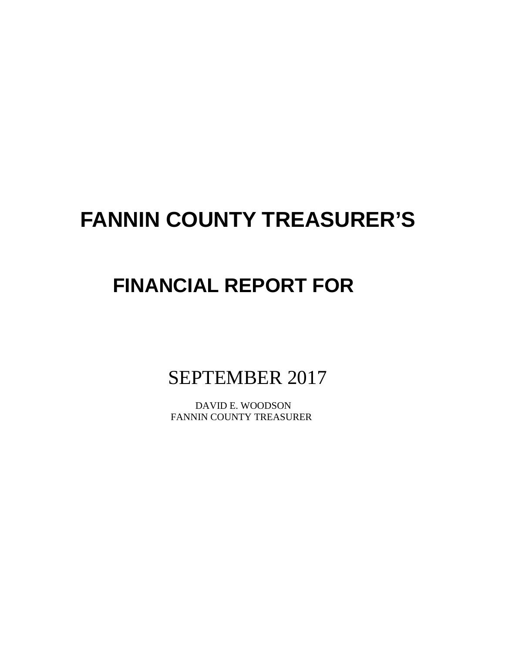# **FANNIN COUNTY TREASURER'S**

# **FINANCIAL REPORT FOR**

SEPTEMBER 2017

 DAVID E. WOODSON FANNIN COUNTY TREASURER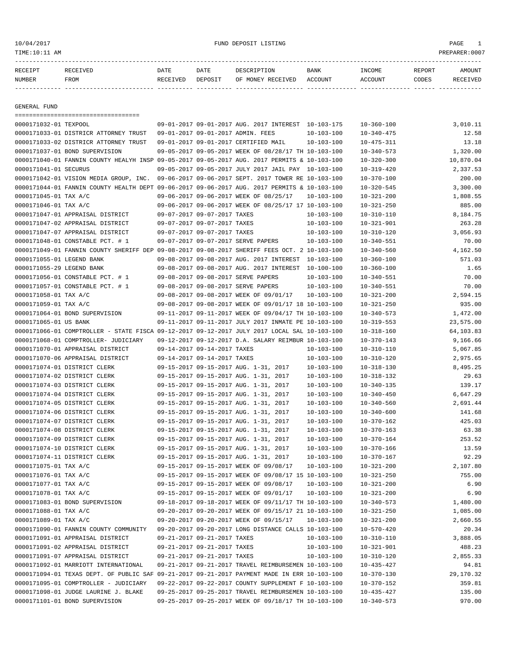# 10/04/2017 FUND DEPOSIT LISTING PAGE 1

| RECEIPT       | <b>RECEIVED</b> | DATE     | DATE    | DESCRIPTION       | <b>BANK</b> | <b>TNCOME</b> | REPORT | AMOUNT          |
|---------------|-----------------|----------|---------|-------------------|-------------|---------------|--------|-----------------|
| <b>NUMBER</b> | FROM            | RECEIVED | DEPOSIT | OF MONEY RECEIVED | ACCOUNT     | ACCOUNT       | CODES  | <b>RECEIVED</b> |
|               |                 |          |         |                   |             |               |        |                 |

GENERAL FUND

|                           | =====================================                                                        |                             |                                                      |                  |                  |                   |
|---------------------------|----------------------------------------------------------------------------------------------|-----------------------------|------------------------------------------------------|------------------|------------------|-------------------|
| 0000171032-01 TEXPOOL     |                                                                                              |                             | 09-01-2017 09-01-2017 AUG. 2017 INTEREST 10-103-175  |                  | $10 - 360 - 100$ | 3,010.11          |
|                           | 0000171033-01 DISTRICR ATTORNEY TRUST                                                        |                             | 09-01-2017 09-01-2017 ADMIN. FEES                    | $10 - 103 - 100$ | $10 - 340 - 475$ | 12.58             |
|                           | 0000171033-02 DISTRICR ATTORNEY TRUST                                                        |                             | 09-01-2017 09-01-2017 CERTIFIED MAIL                 | $10 - 103 - 100$ | $10 - 475 - 311$ | 13.18             |
|                           | 0000171037-01 BOND SUPERVISION                                                               |                             | 09-05-2017 09-05-2017 WEEK OF 08/28/17 TH 10-103-100 |                  | $10 - 340 - 573$ | 1,320.00          |
|                           | 0000171040-01 FANNIN COUNTY HEALYH INSP 09-05-2017 09-05-2017 AUG. 2017 PERMITS & 10-103-100 |                             |                                                      |                  | $10 - 320 - 300$ | 10,870.04         |
| 0000171041-01 SECURUS     |                                                                                              |                             | 09-05-2017 09-05-2017 JULY 2017 JAIL PAY 10-103-100  |                  | $10 - 319 - 420$ | 2,337.53          |
|                           | 0000171042-01 VISION MEDIA GROUP, INC. 09-06-2017 09-06-2017 SEPT. 2017 TOWER RE 10-103-100  |                             |                                                      |                  | $10 - 370 - 100$ | 200.00            |
|                           | 0000171044-01 FANNIN COUNTY HEALTH DEPT 09-06-2017 09-06-2017 AUG. 2017 PERMITS & 10-103-100 |                             |                                                      |                  | $10 - 320 - 545$ | 3,300.00          |
| 0000171045-01 TAX A/C     |                                                                                              |                             | 09-06-2017 09-06-2017 WEEK OF 08/25/17               | $10 - 103 - 100$ | $10 - 321 - 200$ | 1,808.55          |
| 0000171046-01 TAX A/C     |                                                                                              |                             | 09-06-2017 09-06-2017 WEEK OF 08/25/17 17 10-103-100 |                  | $10 - 321 - 250$ | 885.00            |
|                           | 0000171047-01 APPRAISAL DISTRICT                                                             | 09-07-2017 09-07-2017 TAXES |                                                      | $10 - 103 - 100$ | $10 - 310 - 110$ | 8,184.75          |
|                           | 0000171047-02 APPRAISAL DISTRICT                                                             | 09-07-2017 09-07-2017 TAXES |                                                      | $10 - 103 - 100$ | $10 - 321 - 901$ | 263.28            |
|                           | 0000171047-07 APPRAISAL DISTRICT                                                             | 09-07-2017 09-07-2017 TAXES |                                                      | $10 - 103 - 100$ | $10 - 310 - 120$ | 3,056.93          |
|                           | 0000171048-01 CONSTABLE PCT. # 1                                                             |                             | 09-07-2017 09-07-2017 SERVE PAPERS                   | $10 - 103 - 100$ | $10 - 340 - 551$ | 70.00             |
|                           | 0000171049-01 FANNIN COUNTY SHERIFF DEP 09-08-2017 09-08-2017 SHERIFF FEES OCT. 2 10-103-100 |                             |                                                      |                  | $10 - 340 - 560$ | 4,162.50          |
| 0000171055-01 LEGEND BANK |                                                                                              |                             | 09-08-2017 09-08-2017 AUG. 2017 INTEREST 10-103-100  |                  | $10 - 360 - 100$ | 571.03            |
| 0000171055-29 LEGEND BANK |                                                                                              |                             | 09-08-2017 09-08-2017 AUG. 2017 INTEREST             | 10-100-100       | $10 - 360 - 100$ | 1.65              |
|                           | 0000171056-01 CONSTABLE PCT. # 1                                                             |                             | 09-08-2017 09-08-2017 SERVE PAPERS                   | $10 - 103 - 100$ | $10 - 340 - 551$ | 70.00             |
|                           | 0000171057-01 CONSTABLE PCT. # 1                                                             |                             | 09-08-2017 09-08-2017 SERVE PAPERS                   | $10 - 103 - 100$ | $10 - 340 - 551$ | 70.00             |
| 0000171058-01 TAX A/C     |                                                                                              |                             | 09-08-2017 09-08-2017 WEEK OF 09/01/17               | $10 - 103 - 100$ | $10 - 321 - 200$ | 2,594.15          |
| 0000171059-01 TAX A/C     |                                                                                              |                             | 09-08-2017 09-08-2017 WEEK OF 09/01/17 18 10-103-100 |                  | $10 - 321 - 250$ | 935.00            |
|                           | 0000171064-01 BOND SUPERVISION                                                               |                             | 09-11-2017 09-11-2017 WEEK OF 09/04/17 TH 10-103-100 |                  | $10 - 340 - 573$ | 1,472.00          |
| 0000171065-01 US BANK     |                                                                                              |                             | 09-11-2017 09-11-2017 JULY 2017 INMATE PE 10-103-100 |                  | $10 - 319 - 553$ | 23,575.00         |
|                           | 0000171066-01 COMPTROLLER - STATE FISCA 09-12-2017 09-12-2017 JULY 2017 LOCAL SAL 10-103-100 |                             |                                                      |                  | $10 - 318 - 160$ | 64,103.83         |
|                           | 0000171068-01 COMPTROLLER- JUDICIARY                                                         |                             | 09-12-2017 09-12-2017 D.A. SALARY REIMBUR 10-103-100 |                  | $10 - 370 - 143$ | 9,166.66          |
|                           | 0000171070-01 APPRAISAL DISTRICT                                                             | 09-14-2017 09-14-2017 TAXES |                                                      | $10 - 103 - 100$ | $10 - 310 - 110$ | 5,067.85          |
|                           | 0000171070-06 APPRAISAL DISTRICT                                                             | 09-14-2017 09-14-2017 TAXES |                                                      | $10 - 103 - 100$ | $10 - 310 - 120$ | 2,975.65          |
|                           | 0000171074-01 DISTRICT CLERK                                                                 |                             | 09-15-2017 09-15-2017 AUG. 1-31, 2017                | $10 - 103 - 100$ | $10 - 318 - 130$ | 8,495.25          |
|                           | 0000171074-02 DISTRICT CLERK                                                                 |                             | 09-15-2017 09-15-2017 AUG. 1-31, 2017                | $10 - 103 - 100$ | $10 - 318 - 132$ | 29.63             |
|                           | 0000171074-03 DISTRICT CLERK                                                                 |                             | 09-15-2017 09-15-2017 AUG. 1-31, 2017                | $10 - 103 - 100$ | $10 - 340 - 135$ | 139.17            |
|                           | 0000171074-04 DISTRICT CLERK                                                                 |                             | 09-15-2017 09-15-2017 AUG. 1-31, 2017                | $10 - 103 - 100$ | $10 - 340 - 450$ | 6,647.29          |
|                           | 0000171074-05 DISTRICT CLERK                                                                 |                             | 09-15-2017 09-15-2017 AUG. 1-31, 2017                | $10 - 103 - 100$ | $10 - 340 - 560$ | 2,691.44          |
|                           | 0000171074-06 DISTRICT CLERK                                                                 |                             | 09-15-2017 09-15-2017 AUG. 1-31, 2017                | $10 - 103 - 100$ | $10 - 340 - 600$ | 141.68            |
|                           | 0000171074-07 DISTRICT CLERK                                                                 |                             | 09-15-2017 09-15-2017 AUG. 1-31, 2017                | $10 - 103 - 100$ | $10 - 370 - 162$ | 425.03            |
|                           | 0000171074-08 DISTRICT CLERK                                                                 |                             | 09-15-2017 09-15-2017 AUG. 1-31, 2017                | $10 - 103 - 100$ | $10 - 370 - 163$ | 63.38             |
|                           | 0000171074-09 DISTRICT CLERK                                                                 |                             | 09-15-2017 09-15-2017 AUG. 1-31, 2017                | $10 - 103 - 100$ | $10 - 370 - 164$ | 253.52            |
|                           | 0000171074-10 DISTRICT CLERK                                                                 |                             | 09-15-2017 09-15-2017 AUG. 1-31, 2017                | $10 - 103 - 100$ | $10 - 370 - 166$ | 13.59             |
|                           | 0000171074-11 DISTRICT CLERK                                                                 |                             | 09-15-2017 09-15-2017 AUG. 1-31, 2017                | $10 - 103 - 100$ | $10 - 370 - 167$ | 92.29             |
| 0000171075-01 TAX A/C     |                                                                                              |                             | 09-15-2017 09-15-2017 WEEK OF 09/08/17               | $10 - 103 - 100$ | $10 - 321 - 200$ | 2,107.80          |
| 0000171076-01 TAX A/C     |                                                                                              |                             | 09-15-2017 09-15-2017 WEEK OF 09/08/17 15 10-103-100 |                  | $10 - 321 - 250$ | 755.00            |
| 0000171077-01 TAX A/C     |                                                                                              |                             | 09-15-2017 09-15-2017 WEEK OF 09/08/17               | $10 - 103 - 100$ | $10 - 321 - 200$ | 6.90              |
| 0000171078-01 TAX A/C     |                                                                                              |                             | 09-15-2017 09-15-2017 WEEK OF 09/01/17               | $10 - 103 - 100$ | $10 - 321 - 200$ | 6.90              |
|                           | 0000171083-01 BOND SUPERVISION                                                               |                             | 09-18-2017 09-18-2017 WEEK OF 09/11/17 TH 10-103-100 |                  | $10 - 340 - 573$ | 1,480.00          |
| 0000171088-01 TAX A/C     |                                                                                              |                             | 09-20-2017 09-20-2017 WEEK OF 09/15/17 21 10-103-100 |                  | $10 - 321 - 250$ | 1,085.00          |
| 0000171089-01 TAX A/C     |                                                                                              |                             | 09-20-2017 09-20-2017 WEEK OF 09/15/17               | 10-103-100       | $10 - 321 - 200$ | 2,660.55          |
|                           | 0000171090-01 FANNIN COUNTY COMMUNITY                                                        |                             | 09-20-2017 09-20-2017 LONG DISTANCE CALLS 10-103-100 |                  | $10 - 570 - 420$ | 20.34             |
|                           | 0000171091-01 APPRAISAL DISTRICT                                                             | 09-21-2017 09-21-2017 TAXES |                                                      | $10 - 103 - 100$ | $10 - 310 - 110$ | 3,888.05          |
|                           | 0000171091-02 APPRAISAL DISTRICT                                                             | 09-21-2017 09-21-2017 TAXES |                                                      | $10 - 103 - 100$ | $10 - 321 - 901$ | 488.23            |
|                           | 0000171091-07 APPRAISAL DISTRICT                                                             | 09-21-2017 09-21-2017 TAXES |                                                      | $10 - 103 - 100$ | $10 - 310 - 120$ |                   |
|                           | 0000171092-01 MARRIOTT INTERNATIONAL                                                         |                             | 09-21-2017 09-21-2017 TRAVEL REIMBURSEMEN 10-103-100 |                  | $10 - 435 - 427$ | 2,855.33<br>94.81 |
|                           | 0000171094-01 TEXAS DEPT. OF PUBLIC SAF 09-21-2017 09-21-2017 PAYMENT MADE IN ERR 10-103-100 |                             |                                                      |                  | $10 - 370 - 130$ | 29,170.32         |
|                           | 0000171095-01 COMPTROLLER - JUDICIARY                                                        |                             | 09-22-2017 09-22-2017 COUNTY SUPPLEMENT F 10-103-100 |                  | $10 - 370 - 152$ | 359.81            |
|                           | 0000171098-01 JUDGE LAURINE J. BLAKE                                                         |                             | 09-25-2017 09-25-2017 TRAVEL REIMBURSEMEN 10-103-100 |                  |                  | 135.00            |
|                           |                                                                                              |                             |                                                      |                  | $10 - 435 - 427$ |                   |
|                           | 0000171101-01 BOND SUPERVISION                                                               |                             | 09-25-2017 09-25-2017 WEEK OF 09/18/17 TH 10-103-100 |                  | $10 - 340 - 573$ | 970.00            |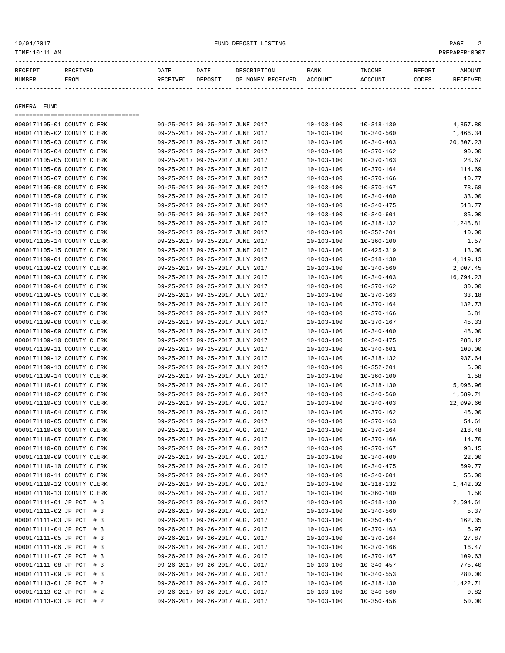| GENERAL FUND<br>0000171105-01 COUNTY CLERK<br>0000171105-02 COUNTY CLERK<br>0000171105-03 COUNTY CLERK<br>0000171105-04 COUNTY CLERK<br>0000171105-05 COUNTY CLERK<br>0000171105-06 COUNTY CLERK<br>0000171105-07 COUNTY CLERK | ====================================== | 09-25-2017 09-25-2017 JUNE 2017<br>09-25-2017 09-25-2017 JUNE 2017<br>09-25-2017 09-25-2017 JUNE 2017 | $10 - 103 - 100$                     | $10 - 318 - 130$                     |                  |
|--------------------------------------------------------------------------------------------------------------------------------------------------------------------------------------------------------------------------------|----------------------------------------|-------------------------------------------------------------------------------------------------------|--------------------------------------|--------------------------------------|------------------|
|                                                                                                                                                                                                                                |                                        |                                                                                                       |                                      |                                      |                  |
|                                                                                                                                                                                                                                |                                        |                                                                                                       |                                      |                                      |                  |
|                                                                                                                                                                                                                                |                                        |                                                                                                       |                                      |                                      | 4,857.80         |
|                                                                                                                                                                                                                                |                                        |                                                                                                       | $10 - 103 - 100$                     | $10 - 340 - 560$                     | 1,466.34         |
|                                                                                                                                                                                                                                |                                        |                                                                                                       | $10 - 103 - 100$                     | $10 - 340 - 403$                     | 20,807.23        |
|                                                                                                                                                                                                                                |                                        | 09-25-2017 09-25-2017 JUNE 2017                                                                       | $10 - 103 - 100$                     | $10 - 370 - 162$                     | 90.00            |
|                                                                                                                                                                                                                                |                                        | 09-25-2017 09-25-2017 JUNE 2017                                                                       | $10 - 103 - 100$                     | $10 - 370 - 163$                     | 28.67            |
|                                                                                                                                                                                                                                |                                        | 09-25-2017 09-25-2017 JUNE 2017                                                                       | $10 - 103 - 100$                     | $10 - 370 - 164$                     | 114.69           |
|                                                                                                                                                                                                                                |                                        | 09-25-2017 09-25-2017 JUNE 2017                                                                       | $10 - 103 - 100$                     | $10 - 370 - 166$                     | 10.77            |
| 0000171105-08 COUNTY CLERK                                                                                                                                                                                                     |                                        | 09-25-2017 09-25-2017 JUNE 2017                                                                       | $10 - 103 - 100$                     | $10 - 370 - 167$                     | 73.68            |
| 0000171105-09 COUNTY CLERK                                                                                                                                                                                                     |                                        | 09-25-2017 09-25-2017 JUNE 2017                                                                       | $10 - 103 - 100$                     | $10 - 340 - 400$                     | 33.00            |
| 0000171105-10 COUNTY CLERK                                                                                                                                                                                                     |                                        | 09-25-2017 09-25-2017 JUNE 2017                                                                       | $10 - 103 - 100$                     | $10 - 340 - 475$                     | 518.77           |
| 0000171105-11 COUNTY CLERK                                                                                                                                                                                                     |                                        | 09-25-2017 09-25-2017 JUNE 2017                                                                       | $10 - 103 - 100$                     | $10 - 340 - 601$                     | 85.00            |
| 0000171105-12 COUNTY CLERK                                                                                                                                                                                                     |                                        | 09-25-2017 09-25-2017 JUNE 2017                                                                       | $10 - 103 - 100$                     | $10 - 318 - 132$                     | 1,248.81         |
| 0000171105-13 COUNTY CLERK                                                                                                                                                                                                     |                                        | 09-25-2017 09-25-2017 JUNE 2017                                                                       | $10 - 103 - 100$                     | $10 - 352 - 201$                     | 10.00            |
| 0000171105-14 COUNTY CLERK                                                                                                                                                                                                     |                                        | 09-25-2017 09-25-2017 JUNE 2017                                                                       | $10 - 103 - 100$                     | $10 - 360 - 100$                     | 1.57             |
| 0000171105-15 COUNTY CLERK                                                                                                                                                                                                     |                                        | 09-25-2017 09-25-2017 JUNE 2017                                                                       | $10 - 103 - 100$                     | $10 - 425 - 319$                     | 13.00            |
| 0000171109-01 COUNTY CLERK                                                                                                                                                                                                     |                                        | 09-25-2017 09-25-2017 JULY 2017                                                                       | $10 - 103 - 100$                     | $10 - 318 - 130$                     | 4,119.13         |
| 0000171109-02 COUNTY CLERK                                                                                                                                                                                                     |                                        | 09-25-2017 09-25-2017 JULY 2017                                                                       | $10 - 103 - 100$                     | $10 - 340 - 560$                     | 2,007.45         |
| 0000171109-03 COUNTY CLERK                                                                                                                                                                                                     |                                        | 09-25-2017 09-25-2017 JULY 2017                                                                       | $10 - 103 - 100$                     | $10 - 340 - 403$                     | 16,794.23        |
| 0000171109-04 COUNTY CLERK                                                                                                                                                                                                     |                                        | 09-25-2017 09-25-2017 JULY 2017                                                                       | $10 - 103 - 100$                     | $10 - 370 - 162$                     | 30.00            |
| 0000171109-05 COUNTY CLERK                                                                                                                                                                                                     |                                        | 09-25-2017 09-25-2017 JULY 2017                                                                       | $10 - 103 - 100$                     | $10 - 370 - 163$                     | 33.18            |
| 0000171109-06 COUNTY CLERK                                                                                                                                                                                                     |                                        | 09-25-2017 09-25-2017 JULY 2017                                                                       | $10 - 103 - 100$                     | $10 - 370 - 164$                     | 132.73           |
| 0000171109-07 COUNTY CLERK                                                                                                                                                                                                     |                                        | 09-25-2017 09-25-2017 JULY 2017                                                                       | $10 - 103 - 100$                     | $10 - 370 - 166$                     | 6.81             |
| 0000171109-08 COUNTY CLERK                                                                                                                                                                                                     |                                        | 09-25-2017 09-25-2017 JULY 2017                                                                       | $10 - 103 - 100$                     | $10 - 370 - 167$                     | 45.33            |
| 0000171109-09 COUNTY CLERK<br>0000171109-10 COUNTY CLERK                                                                                                                                                                       |                                        | 09-25-2017 09-25-2017 JULY 2017<br>09-25-2017 09-25-2017 JULY 2017                                    | $10 - 103 - 100$                     | $10 - 340 - 400$                     | 48.00            |
| 0000171109-11 COUNTY CLERK                                                                                                                                                                                                     |                                        | 09-25-2017 09-25-2017 JULY 2017                                                                       | $10 - 103 - 100$<br>$10 - 103 - 100$ | $10 - 340 - 475$<br>$10 - 340 - 601$ | 288.12<br>100.00 |
| 0000171109-12 COUNTY CLERK                                                                                                                                                                                                     |                                        | 09-25-2017 09-25-2017 JULY 2017                                                                       | $10 - 103 - 100$                     | $10 - 318 - 132$                     | 937.64           |
| 0000171109-13 COUNTY CLERK                                                                                                                                                                                                     |                                        | 09-25-2017 09-25-2017 JULY 2017                                                                       | $10 - 103 - 100$                     | $10 - 352 - 201$                     | 5.00             |
| 0000171109-14 COUNTY CLERK                                                                                                                                                                                                     |                                        | 09-25-2017 09-25-2017 JULY 2017                                                                       | $10 - 103 - 100$                     | $10 - 360 - 100$                     | 1.58             |
| 0000171110-01 COUNTY CLERK                                                                                                                                                                                                     |                                        | 09-25-2017 09-25-2017 AUG. 2017                                                                       | $10 - 103 - 100$                     | $10 - 318 - 130$                     | 5,096.96         |
| 0000171110-02 COUNTY CLERK                                                                                                                                                                                                     |                                        | 09-25-2017 09-25-2017 AUG. 2017                                                                       | $10 - 103 - 100$                     | $10 - 340 - 560$                     | 1,689.71         |
| 0000171110-03 COUNTY CLERK                                                                                                                                                                                                     |                                        | 09-25-2017 09-25-2017 AUG. 2017                                                                       | $10 - 103 - 100$                     | $10 - 340 - 403$                     | 22,099.66        |
| 0000171110-04 COUNTY CLERK                                                                                                                                                                                                     |                                        | 09-25-2017 09-25-2017 AUG. 2017                                                                       | $10 - 103 - 100$                     | $10 - 370 - 162$                     | 45.00            |
| 0000171110-05 COUNTY CLERK                                                                                                                                                                                                     |                                        | 09-25-2017 09-25-2017 AUG. 2017                                                                       | $10 - 103 - 100$                     | $10 - 370 - 163$                     | 54.61            |
| 0000171110-06 COUNTY CLERK                                                                                                                                                                                                     |                                        | 09-25-2017 09-25-2017 AUG. 2017                                                                       | $10 - 103 - 100$                     | $10 - 370 - 164$                     | 218.48           |
| 0000171110-07 COUNTY CLERK                                                                                                                                                                                                     |                                        | 09-25-2017 09-25-2017 AUG. 2017                                                                       | $10 - 103 - 100$                     | $10 - 370 - 166$                     | 14.70            |
| 0000171110-08 COUNTY CLERK                                                                                                                                                                                                     |                                        | 09-25-2017 09-25-2017 AUG. 2017                                                                       | $10 - 103 - 100$                     | $10 - 370 - 167$                     | 98.15            |
| 0000171110-09 COUNTY CLERK                                                                                                                                                                                                     |                                        | 09-25-2017 09-25-2017 AUG. 2017                                                                       | $10 - 103 - 100$                     | $10 - 340 - 400$                     | 22.00            |
| 0000171110-10 COUNTY CLERK                                                                                                                                                                                                     |                                        | 09-25-2017 09-25-2017 AUG. 2017                                                                       | $10 - 103 - 100$                     | $10 - 340 - 475$                     | 699.77           |
| 0000171110-11 COUNTY CLERK                                                                                                                                                                                                     |                                        | 09-25-2017 09-25-2017 AUG. 2017                                                                       | $10 - 103 - 100$                     | $10 - 340 - 601$                     | 55.00            |
| 0000171110-12 COUNTY CLERK                                                                                                                                                                                                     |                                        | 09-25-2017 09-25-2017 AUG. 2017                                                                       | $10 - 103 - 100$                     | $10 - 318 - 132$                     | 1,442.02         |
| 0000171110-13 COUNTY CLERK                                                                                                                                                                                                     |                                        | 09-25-2017 09-25-2017 AUG. 2017                                                                       | $10 - 103 - 100$                     | $10 - 360 - 100$                     | 1.50             |
| 0000171111-01 JP PCT. # 3                                                                                                                                                                                                      |                                        | 09-26-2017 09-26-2017 AUG. 2017                                                                       | $10 - 103 - 100$                     | $10 - 318 - 130$                     | 2,594.61         |
| 0000171111-02 JP PCT. # 3                                                                                                                                                                                                      |                                        | 09-26-2017 09-26-2017 AUG. 2017                                                                       | $10 - 103 - 100$                     | $10 - 340 - 560$                     | 5.37             |
| 0000171111-03 JP PCT. # 3                                                                                                                                                                                                      |                                        | 09-26-2017 09-26-2017 AUG. 2017                                                                       | $10 - 103 - 100$                     | $10 - 350 - 457$                     | 162.35           |
| 0000171111-04 JP PCT. # 3                                                                                                                                                                                                      |                                        | 09-26-2017 09-26-2017 AUG. 2017                                                                       | $10 - 103 - 100$                     | $10 - 370 - 163$                     | 6.97             |
| 0000171111-05 JP PCT. # 3                                                                                                                                                                                                      |                                        | 09-26-2017 09-26-2017 AUG. 2017                                                                       | $10 - 103 - 100$                     | $10 - 370 - 164$                     | 27.87            |
| 0000171111-06 JP PCT. # 3                                                                                                                                                                                                      |                                        | 09-26-2017 09-26-2017 AUG. 2017                                                                       | $10 - 103 - 100$                     | $10 - 370 - 166$                     | 16.47            |
| 0000171111-07 JP PCT. # 3                                                                                                                                                                                                      |                                        | 09-26-2017 09-26-2017 AUG. 2017                                                                       | $10 - 103 - 100$                     | $10 - 370 - 167$                     | 109.63           |
| 0000171111-08 JP PCT. # 3                                                                                                                                                                                                      |                                        | 09-26-2017 09-26-2017 AUG. 2017                                                                       | $10 - 103 - 100$                     | $10 - 340 - 457$                     | 775.40           |
| 0000171111-09 JP PCT. # 3                                                                                                                                                                                                      |                                        | 09-26-2017 09-26-2017 AUG. 2017                                                                       | $10 - 103 - 100$                     | $10 - 340 - 553$                     | 280.00           |
| 0000171113-01 JP PCT. # 2                                                                                                                                                                                                      |                                        | 09-26-2017 09-26-2017 AUG. 2017                                                                       | $10 - 103 - 100$                     | $10 - 318 - 130$                     | 1,422.71         |
| 0000171113-02 JP PCT. # 2                                                                                                                                                                                                      |                                        | 09-26-2017 09-26-2017 AUG. 2017                                                                       | $10 - 103 - 100$                     | $10 - 340 - 560$                     | 0.82             |
| 0000171113-03 JP PCT. # 2                                                                                                                                                                                                      |                                        | 09-26-2017 09-26-2017 AUG. 2017                                                                       | $10 - 103 - 100$                     | $10 - 350 - 456$                     | 50.00            |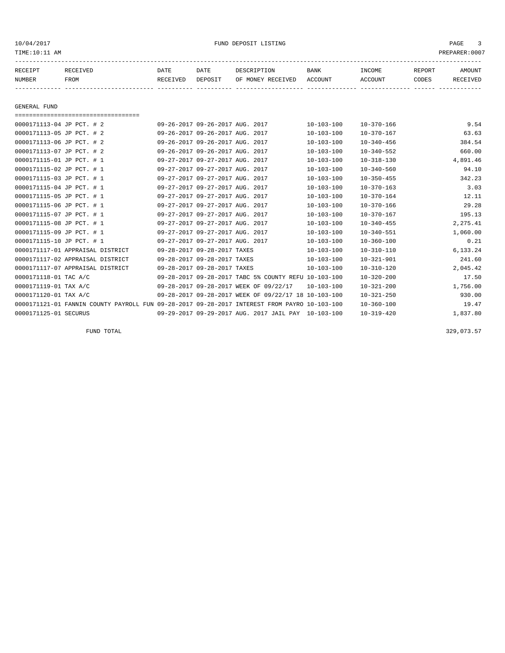| RECEIPT       | RECEIVED | DATE     | DATE    | DESCRIPTION               | <b>BANK</b> | INCOME  | REPORT | <b>AMOUNT</b> |
|---------------|----------|----------|---------|---------------------------|-------------|---------|--------|---------------|
| <b>NUMBER</b> | FROM     | RECEIVED | DEPOSIT | OF MONEY RECEIVED ACCOUNT |             | ACCOUNT | CODES  | RECEIVED      |
|               |          |          |         |                           |             |         |        |               |
|               |          |          |         |                           |             |         |        |               |

GENERAL FUND

| ====================================                                                         |                                                      |      |                  |                  |          |
|----------------------------------------------------------------------------------------------|------------------------------------------------------|------|------------------|------------------|----------|
| 0000171113-04 JP PCT. # 2                                                                    | 09-26-2017 09-26-2017 AUG. 2017                      |      | $10 - 103 - 100$ | $10 - 370 - 166$ | 9.54     |
| 0000171113-05 JP PCT. # 2                                                                    | 09-26-2017 09-26-2017 AUG.                           | 2017 | $10 - 103 - 100$ | $10 - 370 - 167$ | 63.63    |
| 0000171113-06 JP PCT. # 2                                                                    | 09-26-2017 09-26-2017 AUG. 2017                      |      | $10 - 103 - 100$ | $10 - 340 - 456$ | 384.54   |
| 0000171113-07 JP PCT. # 2                                                                    | 09-26-2017 09-26-2017 AUG.                           | 2017 | $10 - 103 - 100$ | $10 - 340 - 552$ | 660.00   |
| 0000171115-01 JP PCT. # 1                                                                    | 09-27-2017 09-27-2017 AUG. 2017                      |      | $10 - 103 - 100$ | $10 - 318 - 130$ | 4,891.46 |
| 0000171115-02 JP PCT. # 1                                                                    | 09-27-2017 09-27-2017 AUG. 2017                      |      | $10 - 103 - 100$ | $10 - 340 - 560$ | 94.10    |
| 0000171115-03 JP PCT. # 1                                                                    | 09-27-2017 09-27-2017 AUG.                           | 2017 | $10 - 103 - 100$ | $10 - 350 - 455$ | 342.23   |
| 0000171115-04 JP PCT. # 1                                                                    | 09-27-2017 09-27-2017 AUG. 2017                      |      | $10 - 103 - 100$ | $10 - 370 - 163$ | 3.03     |
| 0000171115-05 JP PCT. # 1                                                                    | 09-27-2017 09-27-2017 AUG.                           | 2017 | $10 - 103 - 100$ | $10 - 370 - 164$ | 12.11    |
| 0000171115-06 JP PCT. # 1                                                                    | 09-27-2017 09-27-2017 AUG. 2017                      |      | $10 - 103 - 100$ | $10 - 370 - 166$ | 29.28    |
| 0000171115-07 JP PCT. # 1                                                                    | 09-27-2017 09-27-2017 AUG. 2017                      |      | $10 - 103 - 100$ | $10 - 370 - 167$ | 195.13   |
| 0000171115-08 JP PCT. # 1                                                                    | 09-27-2017 09-27-2017 AUG. 2017                      |      | $10 - 103 - 100$ | $10 - 340 - 455$ | 2,275.41 |
| 0000171115-09 JP PCT. # 1                                                                    | 09-27-2017 09-27-2017 AUG. 2017                      |      | $10 - 103 - 100$ | $10 - 340 - 551$ | 1,060.00 |
| 0000171115-10 JP PCT. # 1                                                                    | 09-27-2017 09-27-2017 AUG. 2017                      |      | $10 - 103 - 100$ | $10 - 360 - 100$ | 0.21     |
| 0000171117-01 APPRAISAL DISTRICT                                                             | 09-28-2017 09-28-2017 TAXES                          |      | $10 - 103 - 100$ | $10 - 310 - 110$ | 6,133.24 |
| 0000171117-02 APPRAISAL DISTRICT                                                             | 09-28-2017 09-28-2017 TAXES                          |      | $10 - 103 - 100$ | $10 - 321 - 901$ | 241.60   |
| 0000171117-07 APPRAISAL DISTRICT                                                             | 09-28-2017 09-28-2017 TAXES                          |      | $10 - 103 - 100$ | $10 - 310 - 120$ | 2,045.42 |
| 0000171118-01 TAC A/C                                                                        | 09-28-2017 09-28-2017 TABC 5% COUNTY REFU 10-103-100 |      |                  | $10 - 320 - 200$ | 17.50    |
| 0000171119-01 TAX A/C                                                                        | 09-28-2017 09-28-2017 WEEK OF 09/22/17               |      | $10 - 103 - 100$ | $10 - 321 - 200$ | 1,756.00 |
| 0000171120-01 TAX A/C                                                                        | 09-28-2017 09-28-2017 WEEK OF 09/22/17 18 10-103-100 |      |                  | $10 - 321 - 250$ | 930.00   |
| 0000171121-01 FANNIN COUNTY PAYROLL FUN 09-28-2017 09-28-2017 INTEREST FROM PAYRO 10-103-100 |                                                      |      |                  | $10 - 360 - 100$ | 19.47    |
| 0000171125-01 SECURUS                                                                        | 09-29-2017 09-29-2017 AUG. 2017 JAIL PAY             |      | $10 - 103 - 100$ | $10 - 319 - 420$ | 1,837.80 |

FUND TOTAL  $329,073.57$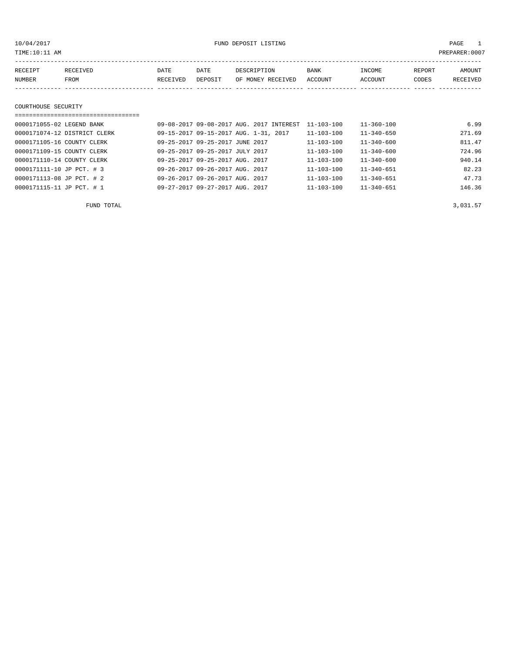# 10/04/2017 FUND DEPOSIT LISTING PAGE 1

| RECEIPT | <b>RECEIVED</b> | DATE     | DATE    | DESCRIPTION       | <b>BANK</b> | INCOME         | <b>REPORT</b> | AMOUNT   |
|---------|-----------------|----------|---------|-------------------|-------------|----------------|---------------|----------|
| NUMBER  | <b>FROM</b>     | RECEIVED | DEPOSIT | OF MONEY RECEIVED | ACCOUNT     | <b>ACCOUNT</b> | CODES         | RECEIVED |
|         |                 |          |         |                   |             |                |               |          |

#### COURTHOUSE SECURITY

| ================================ |                                          |                  |                  |        |
|----------------------------------|------------------------------------------|------------------|------------------|--------|
| 0000171055-02 LEGEND BANK        | 09-08-2017 09-08-2017 AUG. 2017 INTEREST | $11 - 103 - 100$ | $11 - 360 - 100$ | 6.99   |
| 0000171074-12 DISTRICT CLERK     | 09-15-2017 09-15-2017 AUG. 1-31, 2017    | 11-103-100       | $11 - 340 - 650$ | 271.69 |
| 0000171105-16 COUNTY CLERK       | 09-25-2017 09-25-2017 JUNE 2017          | 11-103-100       | $11 - 340 - 600$ | 811.47 |
| 0000171109-15 COUNTY CLERK       | 09-25-2017 09-25-2017 JULY 2017          | $11 - 103 - 100$ | $11 - 340 - 600$ | 724.96 |
| 0000171110-14 COUNTY CLERK       | 09-25-2017 09-25-2017 AUG. 2017          | $11 - 103 - 100$ | $11 - 340 - 600$ | 940.14 |
| 0000171111-10 JP PCT. # 3        | 09-26-2017 09-26-2017 AUG. 2017          | $11 - 103 - 100$ | $11 - 340 - 651$ | 82.23  |
| 0000171113-08 JP PCT. # 2        | 09-26-2017 09-26-2017 AUG. 2017          | $11 - 103 - 100$ | $11 - 340 - 651$ | 47.73  |
| 0000171115-11 JP PCT. # 1        | 09-27-2017 09-27-2017 AUG. 2017          | $11 - 103 - 100$ | $11 - 340 - 651$ | 146.36 |

FUND TOTAL  $3,031.57$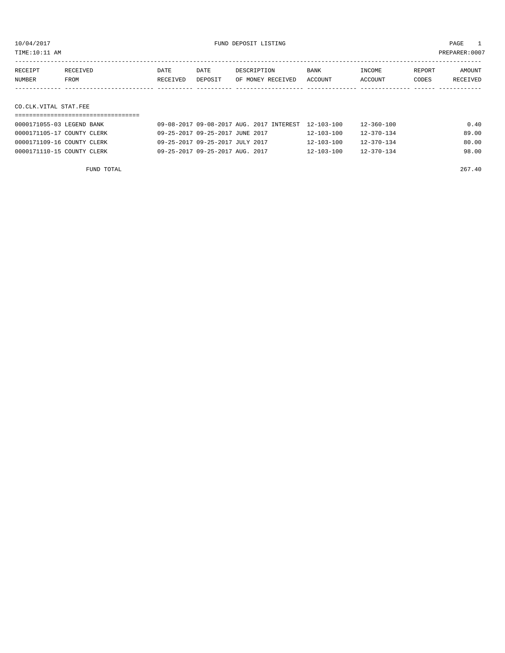TIME:10:11 AM PREPARER:0007

| RECEIPT | RECEIVED | DATE     | DATE    | DESCRIPTION       | <b>BANK</b> | INCOME  | REPORT | AMOUNT          |
|---------|----------|----------|---------|-------------------|-------------|---------|--------|-----------------|
| NUMBER  | FROM     | RECEIVED | DEPOSIT | OF MONEY RECEIVED | ACCOUNT     | ACCOUNT | CODES  | <b>RECEIVED</b> |
|         |          |          |         |                   |             |         |        |                 |

## CO.CLK.VITAL STAT.FEE

| 0000171055-03 LEGEND BANK  | 09-08-2017 09-08-2017 AUG. 2017 INTEREST 12-103-100 |                  | 12-360-100       | 0.40  |
|----------------------------|-----------------------------------------------------|------------------|------------------|-------|
| 0000171105-17 COUNTY CLERK | 09-25-2017 09-25-2017 JUNE 2017                     | $12 - 103 - 100$ | $12 - 370 - 134$ | 89.00 |
| 0000171109-16 COUNTY CLERK | 09-25-2017 09-25-2017 JULY 2017                     | $12 - 103 - 100$ | $12 - 370 - 134$ | 80.00 |
| 0000171110-15 COUNTY CLERK | 09-25-2017 09-25-2017 AUG. 2017                     | $12 - 103 - 100$ | $12 - 370 - 134$ | 98.00 |

FUND TOTAL 267.40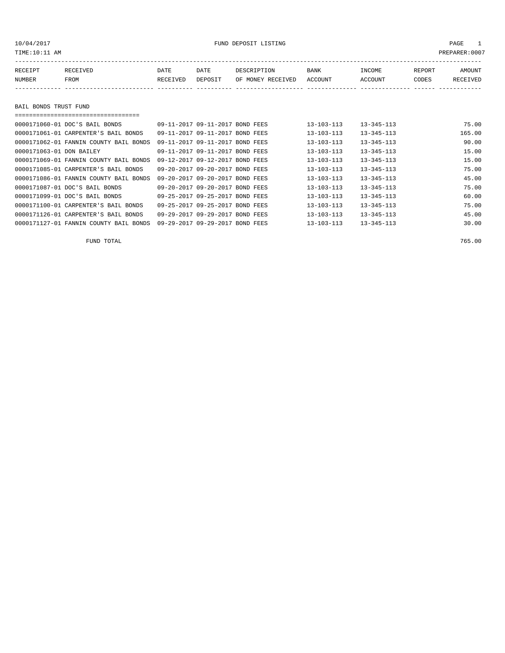| TIME:10:11 AM |                                        |          |                                   |                   |                  |                  |        | PREPARER: 0007 |
|---------------|----------------------------------------|----------|-----------------------------------|-------------------|------------------|------------------|--------|----------------|
| RECEIPT       | RECEIVED                               | DATE     | DATE                              | DESCRIPTION       | BANK             | INCOME           | REPORT | AMOUNT         |
| NUMBER        | FROM                                   | RECEIVED | DEPOSIT                           | OF MONEY RECEIVED | ACCOUNT          | ACCOUNT          | CODES  | RECEIVED       |
|               |                                        |          |                                   |                   |                  |                  |        |                |
|               | BAIL BONDS TRUST FUND                  |          |                                   |                   |                  |                  |        |                |
|               | 0000171060-01 DOC'S BAIL BONDS         |          | 09-11-2017 09-11-2017 BOND FEES   |                   | $13 - 103 - 113$ | $13 - 345 - 113$ |        | 75.00          |
|               | 0000171061-01 CARPENTER'S BAIL BONDS   |          | $09 - 11 - 2017$ $09 - 11 - 2017$ | BOND FEES         | $13 - 103 - 113$ | $13 - 345 - 113$ |        | 165.00         |
|               | 0000171062-01 FANNIN COUNTY BAIL BONDS |          | $09 - 11 - 2017$ $09 - 11 - 2017$ | BOND FEES         | $13 - 103 - 113$ | $13 - 345 - 113$ |        | 90.00          |
|               | 0000171063-01 DON BAILEY               |          | 09-11-2017 09-11-2017             | BOND<br>FEES      | $13 - 103 - 113$ | $13 - 345 - 113$ |        | 15.00          |

| 0000171069-01 FANNIN COUNTY BAIL BONDS | 09-12-2017 09-12-2017 BOND FEES | $13 - 103 - 113$ | $13 - 345 - 113$ | 15.00 |
|----------------------------------------|---------------------------------|------------------|------------------|-------|
| 0000171085-01 CARPENTER'S BAIL BONDS   | 09-20-2017 09-20-2017 BOND FEES | $13 - 103 - 113$ | $13 - 345 - 113$ | 75.00 |
| 0000171086-01 FANNIN COUNTY BAIL BONDS | 09-20-2017 09-20-2017 BOND FEES | $13 - 103 - 113$ | $13 - 345 - 113$ | 45.00 |
| 0000171087-01 DOC'S BAIL BONDS         | 09-20-2017 09-20-2017 BOND FEES | $13 - 103 - 113$ | $13 - 345 - 113$ | 75.00 |
| 0000171099-01 DOC'S BAIL BONDS         | 09-25-2017 09-25-2017 BOND FEES | $13 - 103 - 113$ | $13 - 345 - 113$ | 60.00 |
| 0000171100-01 CARPENTER'S BAIL BONDS   | 09-25-2017 09-25-2017 BOND FEES | $13 - 103 - 113$ | $13 - 345 - 113$ | 75.00 |
| 0000171126-01 CARPENTER'S BAIL BONDS   | 09-29-2017 09-29-2017 BOND FEES | $13 - 103 - 113$ | $13 - 345 - 113$ | 45.00 |
| 0000171127-01 FANNIN COUNTY BAIL BONDS | 09-29-2017 09-29-2017 BOND FEES | $13 - 103 - 113$ | $13 - 345 - 113$ | 30.00 |
|                                        |                                 |                  |                  |       |

FUND TOTAL 765.00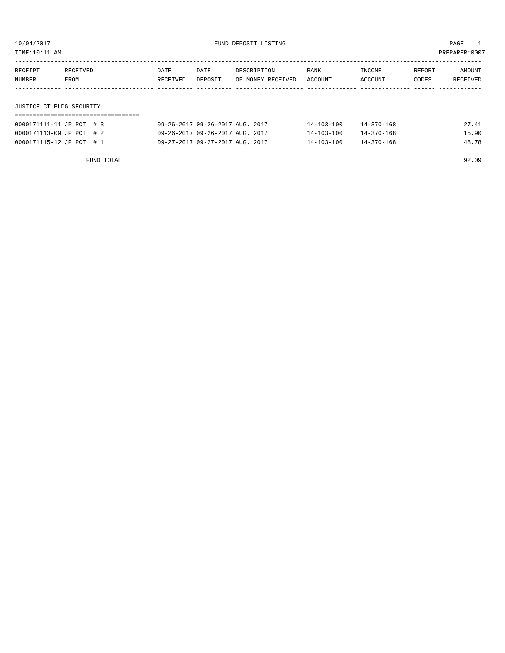TIME:10:11 AM PREPARER:0007

| RECEIPT                  | RECEIVED | DATE     | DATE    | DESCRIPTION       | <b>BANK</b> | INCOME  | REPORT | AMOUNT   |  |
|--------------------------|----------|----------|---------|-------------------|-------------|---------|--------|----------|--|
| NUMBER                   | FROM     | RECEIVED | DEPOSIT | OF MONEY RECEIVED | ACCOUNT     | ACCOUNT | CODES  | RECEIVED |  |
|                          |          |          |         |                   |             |         |        |          |  |
|                          |          |          |         |                   |             |         |        |          |  |
| JUSTICE CT.BLDG.SECURITY |          |          |         |                   |             |         |        |          |  |
|                          |          |          |         |                   |             |         |        |          |  |

| 0000171111-11 JP PCT. # 3 | 09-26-2017 09-26-2017 AUG. 2017 | $14 - 103 - 100$ | $14 - 370 - 168$ | 27.41 |
|---------------------------|---------------------------------|------------------|------------------|-------|
| 0000171113-09 JP PCT. # 2 | 09-26-2017 09-26-2017 AUG. 2017 | $14 - 103 - 100$ | $14 - 370 - 168$ | 15.90 |
| 0000171115-12 JP PCT. # 1 | 09-27-2017 09-27-2017 AUG. 2017 | $14 - 103 - 100$ | $14 - 370 - 168$ | 48.78 |

FUND TOTAL 92.09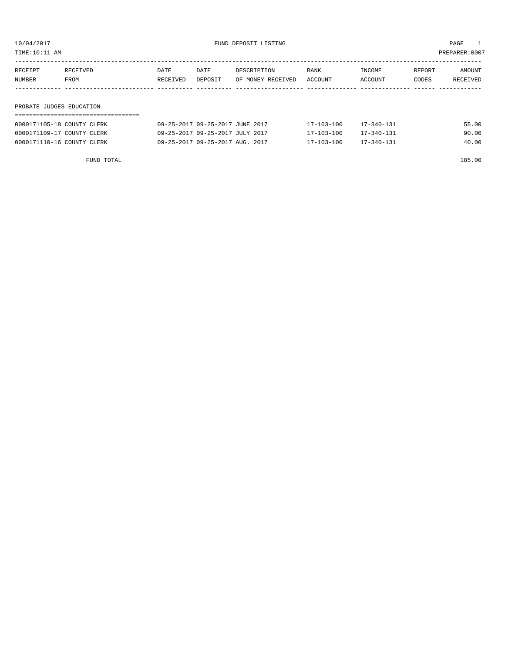10/04/2017 FUND DEPOSIT LISTING PAGE 1

|         | PROBATE JUDGES EDUCATION |          |         |                   |         |         |        |          |
|---------|--------------------------|----------|---------|-------------------|---------|---------|--------|----------|
|         |                          |          |         |                   |         |         |        |          |
| NUMBER  | FROM                     | RECEIVED | DEPOSIT | OF MONEY RECEIVED | ACCOUNT | ACCOUNT | CODES  | RECEIVED |
| RECEIPT | RECEIVED                 | DATE     | DATE    | DESCRIPTION       | BANK    | INCOME  | REPORT | AMOUNT   |
|         |                          |          |         |                   |         |         |        |          |

| 09-25-2017 09-25-2017 JUNE 2017 | 17-103-100 | $17 - 340 - 131$ | 55.00 |
|---------------------------------|------------|------------------|-------|
| 09-25-2017 09-25-2017 JULY 2017 | 17-103-100 | 17-340-131       | 90.00 |
| 09-25-2017 09-25-2017 AUG. 2017 | 17-103-100 | 17-340-131       | 40.00 |
|                                 |            |                  |       |

FUND TOTAL 185.00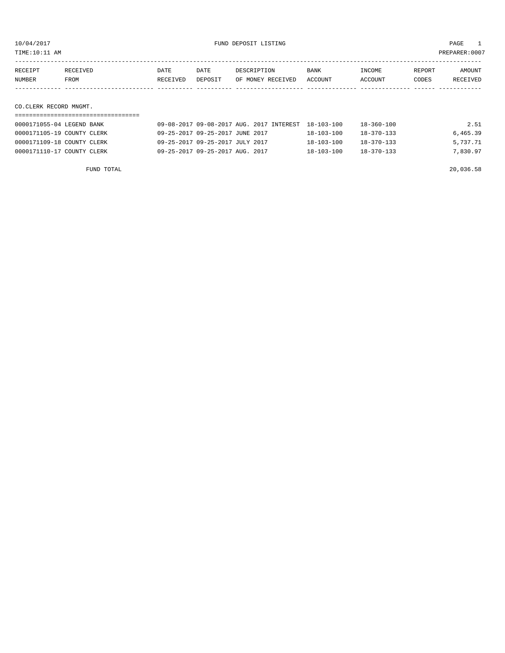TIME:10:11 AM PREPARER:0007

| RECEIPT | RECEIVED    | DATE     | DATE    | DESCRIPTION       | <b>BANK</b> | INCOME         | REPORT | AMOUNT   |
|---------|-------------|----------|---------|-------------------|-------------|----------------|--------|----------|
| NUMBER  | <b>FROM</b> | RECEIVED | DEPOSIT | OF MONEY RECEIVED | ACCOUNT     | <b>ACCOUNT</b> | CODES  | RECEIVED |
|         |             |          |         |                   |             |                |        |          |
|         |             |          |         |                   |             |                |        |          |

### CO.CLERK RECORD MNGMT.

| 0000171055-04 LEGEND BANK  | 09-08-2017 09-08-2017 AUG. 2017 INTEREST 18-103-100 |                  | 18-360-100       | 2.51     |
|----------------------------|-----------------------------------------------------|------------------|------------------|----------|
| 0000171105-19 COUNTY CLERK | 09-25-2017 09-25-2017 JUNE 2017                     | $18 - 103 - 100$ | $18 - 370 - 133$ | 6,465.39 |
| 0000171109-18 COUNTY CLERK | 09-25-2017 09-25-2017 JULY 2017                     | $18 - 103 - 100$ | $18 - 370 - 133$ | 5,737.71 |
| 0000171110-17 COUNTY CLERK | 09-25-2017 09-25-2017 AUG. 2017                     | $18 - 103 - 100$ | $18 - 370 - 133$ | 7,830.97 |

FUND TOTAL 20,036.58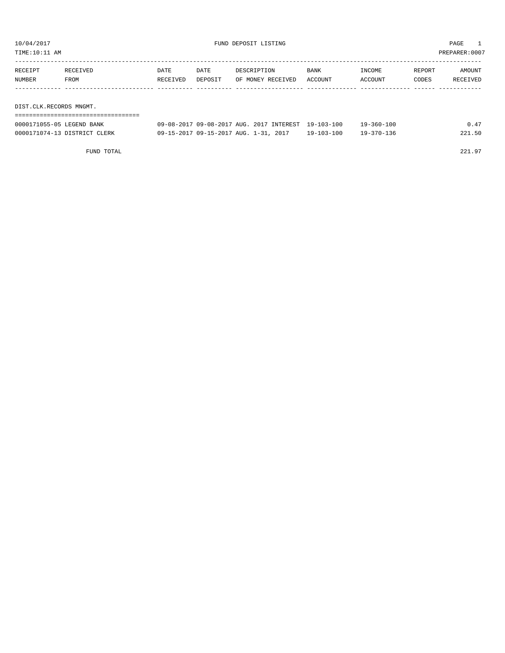TIME:10:11 AM PREPARER:0007

| RECEIPT | RECEIVED                | DATE     | DATE    | DESCRIPTION       | <b>BANK</b> | INCOME  | REPORT | AMOUNT   |  |
|---------|-------------------------|----------|---------|-------------------|-------------|---------|--------|----------|--|
| NUMBER  | FROM                    | RECEIVED | DEPOSIT | OF MONEY RECEIVED | ACCOUNT     | ACCOUNT | CODES  | RECEIVED |  |
|         |                         |          |         |                   |             |         |        |          |  |
|         |                         |          |         |                   |             |         |        |          |  |
|         | DIST.CLK.RECORDS MNGMT. |          |         |                   |             |         |        |          |  |
|         |                         |          |         |                   |             |         |        |          |  |

| 0000171055-05 LEGEND BANK    | 09-08-2017 09-08-2017 AUG. 2017 INTEREST 19-103-100 |                  | 19-360-100 | 0.47   |
|------------------------------|-----------------------------------------------------|------------------|------------|--------|
| 0000171074-13 DISTRICT CLERK | 09-15-2017 09-15-2017 AUG. 1-31, 2017               | $19 - 103 - 100$ | 19-370-136 | 221.50 |

FUND TOTAL 221.97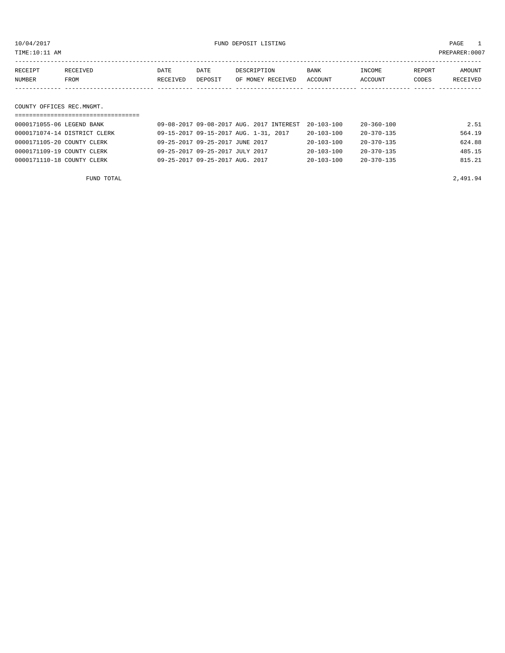10/04/2017 FUND DEPOSIT LISTING PAGE 1

|        | COUNTY OFFICES REC.MNGMT. |          |          |         |                   |         |         |        |          |
|--------|---------------------------|----------|----------|---------|-------------------|---------|---------|--------|----------|
|        |                           |          |          |         |                   |         |         |        |          |
| NUMBER |                           | FROM     | RECEIVED | DEPOSIT | OF MONEY RECEIVED | ACCOUNT | ACCOUNT | CODES  | RECEIVED |
|        | RECEIPT                   | RECEIVED | DATE     | DATE    | DESCRIPTION       | BANK    | INCOME  | REPORT | AMOUNT   |
|        |                           |          |          |         |                   |         |         |        |          |

| 0000171055-06 LEGEND BANK    | 09-08-2017 09-08-2017 AUG. 2017 INTEREST | $20 - 103 - 100$ | 20-360-100       | 2.51   |
|------------------------------|------------------------------------------|------------------|------------------|--------|
| 0000171074-14 DISTRICT CLERK | 09-15-2017 09-15-2017 AUG. 1-31, 2017    | $20 - 103 - 100$ | 20-370-135       | 564.19 |
| 0000171105-20 COUNTY CLERK   | 09-25-2017 09-25-2017 JUNE 2017          | $20 - 103 - 100$ | 20-370-135       | 624.88 |
| 0000171109-19 COUNTY CLERK   | 09-25-2017 09-25-2017 JULY 2017          | $20 - 103 - 100$ | $20 - 370 - 135$ | 485.15 |
| 0000171110-18 COUNTY CLERK   | 09-25-2017 09-25-2017 AUG. 2017          | $20 - 103 - 100$ | $20 - 370 - 135$ | 815.21 |
|                              |                                          |                  |                  |        |

FUND TOTAL 2,491.94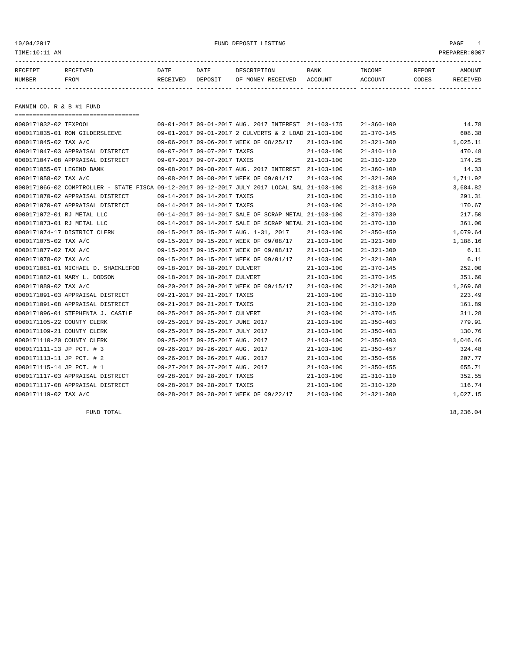10/04/2017 FUND DEPOSIT LISTING PAGE 1

| RECEIPT | RECEIVED | DATE     | DATE    | DESCRIPTION               | BANK | INCOME  | REPORT | AMOUNT   |
|---------|----------|----------|---------|---------------------------|------|---------|--------|----------|
| NUMBER  | FROM     | RECEIVED | DEPOSIT | OF MONEY RECEIVED ACCOUNT |      | ACCOUNT | CODES  | RECEIVED |
|         |          |          |         |                           |      |         |        |          |

FANNIN CO. R & B #1 FUND

| ====================================== |                                                                                              |                  |                  |          |
|----------------------------------------|----------------------------------------------------------------------------------------------|------------------|------------------|----------|
| 0000171032-02 TEXPOOL                  | 09-01-2017 09-01-2017 AUG. 2017 INTEREST 21-103-175                                          |                  | $21 - 360 - 100$ | 14.78    |
| 0000171035-01 RON GILDERSLEEVE         | 09-01-2017 09-01-2017 2 CULVERTS & 2 LOAD 21-103-100                                         |                  | $21 - 370 - 145$ | 608.38   |
| 0000171045-02 TAX A/C                  | 09-06-2017 09-06-2017 WEEK OF 08/25/17                                                       | $21 - 103 - 100$ | $21 - 321 - 300$ | 1,025.11 |
| 0000171047-03 APPRAISAL DISTRICT       | 09-07-2017 09-07-2017 TAXES                                                                  | $21 - 103 - 100$ | $21 - 310 - 110$ | 470.48   |
| 0000171047-08 APPRAISAL DISTRICT       | 09-07-2017 09-07-2017 TAXES                                                                  | $21 - 103 - 100$ | $21 - 310 - 120$ | 174.25   |
| 0000171055-07 LEGEND BANK              | 09-08-2017 09-08-2017 AUG. 2017 INTEREST 21-103-100                                          |                  | $21 - 360 - 100$ | 14.33    |
| 0000171058-02 TAX A/C                  | 09-08-2017 09-08-2017 WEEK OF 09/01/17                                                       | $21 - 103 - 100$ | $21 - 321 - 300$ | 1,711.92 |
|                                        | 0000171066-02 COMPTROLLER - STATE FISCA 09-12-2017 09-12-2017 JULY 2017 LOCAL SAL 21-103-100 |                  | $21 - 318 - 160$ | 3,684.82 |
| 0000171070-02 APPRAISAL DISTRICT       | 09-14-2017 09-14-2017 TAXES                                                                  | $21 - 103 - 100$ | $21 - 310 - 110$ | 291.31   |
| 0000171070-07 APPRAISAL DISTRICT       | 09-14-2017 09-14-2017 TAXES                                                                  | $21 - 103 - 100$ | $21 - 310 - 120$ | 170.67   |
| 0000171072-01 RJ METAL LLC             | 09-14-2017 09-14-2017 SALE OF SCRAP METAL 21-103-100                                         |                  | $21 - 370 - 130$ | 217.50   |
| 0000171073-01 RJ METAL LLC             | 09-14-2017 09-14-2017 SALE OF SCRAP METAL 21-103-100                                         |                  | $21 - 370 - 130$ | 361.00   |
| 0000171074-17 DISTRICT CLERK           | 09-15-2017 09-15-2017 AUG. 1-31, 2017                                                        | $21 - 103 - 100$ | $21 - 350 - 450$ | 1,079.64 |
| 0000171075-02 TAX A/C                  | 09-15-2017 09-15-2017 WEEK OF 09/08/17                                                       | 21-103-100       | $21 - 321 - 300$ | 1,188.16 |
| 0000171077-02 TAX A/C                  | 09-15-2017 09-15-2017 WEEK OF 09/08/17                                                       | $21 - 103 - 100$ | $21 - 321 - 300$ | 6.11     |
| 0000171078-02 TAX A/C                  | 09-15-2017 09-15-2017 WEEK OF 09/01/17                                                       | $21 - 103 - 100$ | $21 - 321 - 300$ | 6.11     |
| 0000171081-01 MICHAEL D. SHACKLEFOD    | 09-18-2017 09-18-2017 CULVERT                                                                | $21 - 103 - 100$ | $21 - 370 - 145$ | 252.00   |
| 0000171082-01 MARY L. DODSON           | 09-18-2017 09-18-2017 CULVERT                                                                | $21 - 103 - 100$ | $21 - 370 - 145$ | 351.60   |
| 0000171089-02 TAX A/C                  | 09-20-2017 09-20-2017 WEEK OF 09/15/17                                                       | $21 - 103 - 100$ | $21 - 321 - 300$ | 1,269.68 |
| 0000171091-03 APPRAISAL DISTRICT       | 09-21-2017 09-21-2017 TAXES                                                                  | $21 - 103 - 100$ | $21 - 310 - 110$ | 223.49   |
| 0000171091-08 APPRAISAL DISTRICT       | 09-21-2017 09-21-2017 TAXES                                                                  | $21 - 103 - 100$ | $21 - 310 - 120$ | 161.89   |
| 0000171096-01 STEPHENIA J. CASTLE      | 09-25-2017 09-25-2017 CULVERT                                                                | $21 - 103 - 100$ | $21 - 370 - 145$ | 311.28   |
| 0000171105-22 COUNTY CLERK             | 09-25-2017 09-25-2017 JUNE 2017                                                              | $21 - 103 - 100$ | $21 - 350 - 403$ | 779.91   |
| 0000171109-21 COUNTY CLERK             | 09-25-2017 09-25-2017 JULY 2017                                                              | $21 - 103 - 100$ | $21 - 350 - 403$ | 130.76   |
| 0000171110-20 COUNTY CLERK             | 09-25-2017 09-25-2017 AUG. 2017                                                              | $21 - 103 - 100$ | $21 - 350 - 403$ | 1,046.46 |
| 0000171111-13 JP PCT. # 3              | 09-26-2017 09-26-2017 AUG. 2017                                                              | $21 - 103 - 100$ | $21 - 350 - 457$ | 324.48   |
| 0000171113-11 JP PCT. # 2              | 09-26-2017 09-26-2017 AUG. 2017                                                              | $21 - 103 - 100$ | $21 - 350 - 456$ | 207.77   |
| 0000171115-14 JP PCT. # 1              | 09-27-2017 09-27-2017 AUG. 2017                                                              | $21 - 103 - 100$ | $21 - 350 - 455$ | 655.71   |
| 0000171117-03 APPRAISAL DISTRICT       | 09-28-2017 09-28-2017 TAXES                                                                  | $21 - 103 - 100$ | $21 - 310 - 110$ | 352.55   |
| 0000171117-08 APPRAISAL DISTRICT       | 09-28-2017 09-28-2017 TAXES                                                                  | $21 - 103 - 100$ | $21 - 310 - 120$ | 116.74   |
| 0000171119-02 TAX A/C                  | 09-28-2017 09-28-2017 WEEK OF 09/22/17                                                       | $21 - 103 - 100$ | $21 - 321 - 300$ | 1,027.15 |

FUND TOTAL  $18,236.04$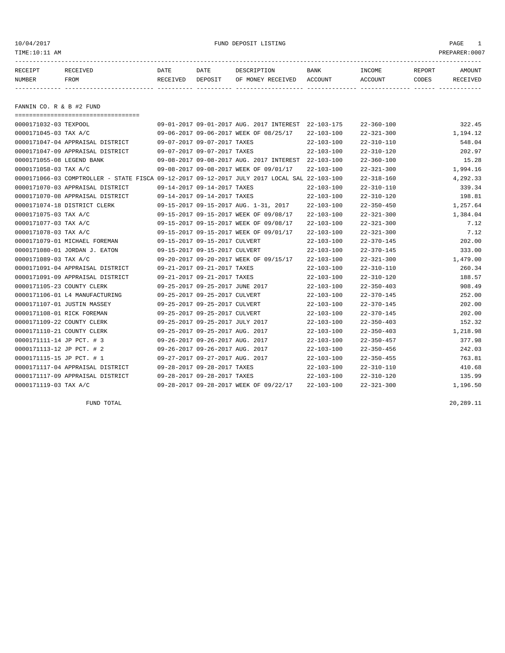10/04/2017 FUND DEPOSIT LISTING PAGE 1

| RECEIPT | <b>RECEIVED</b> | DATE     | DATE    | DESCRIPTION       | BANK    | <b>TNCOME</b>  | REPORT | AMOUNT          |
|---------|-----------------|----------|---------|-------------------|---------|----------------|--------|-----------------|
| NUMBER  | <b>FROM</b>     | RECEIVED | DEPOSIT | OF MONEY RECEIVED | ACCOUNT | <b>ACCOUNT</b> | CODES  | <b>RECEIVED</b> |
|         |                 |          |         |                   |         |                |        |                 |

FANNIN CO. R & B #2 FUND

| -------------------------------------                                                        |                                                     |                  |                  |          |
|----------------------------------------------------------------------------------------------|-----------------------------------------------------|------------------|------------------|----------|
| 0000171032-03 TEXPOOL                                                                        | 09-01-2017 09-01-2017 AUG. 2017 INTEREST 22-103-175 |                  | $22 - 360 - 100$ | 322.45   |
| 0000171045-03 TAX A/C                                                                        | 09-06-2017 09-06-2017 WEEK OF 08/25/17              | $22 - 103 - 100$ | $22 - 321 - 300$ | 1,194.12 |
| 0000171047-04 APPRAISAL DISTRICT                                                             | 09-07-2017 09-07-2017 TAXES                         | $22 - 103 - 100$ | $22 - 310 - 110$ | 548.04   |
| 0000171047-09 APPRAISAL DISTRICT                                                             | 09-07-2017 09-07-2017 TAXES                         | $22 - 103 - 100$ | $22 - 310 - 120$ | 202.97   |
| 0000171055-08 LEGEND BANK                                                                    | 09-08-2017 09-08-2017 AUG. 2017 INTEREST 22-103-100 |                  | $22 - 360 - 100$ | 15.28    |
| 0000171058-03 TAX A/C                                                                        | 09-08-2017 09-08-2017 WEEK OF 09/01/17              | $22 - 103 - 100$ | $22 - 321 - 300$ | 1,994.16 |
| 0000171066-03 COMPTROLLER - STATE FISCA 09-12-2017 09-12-2017 JULY 2017 LOCAL SAL 22-103-100 |                                                     |                  | $22 - 318 - 160$ | 4,292.33 |
| 0000171070-03 APPRAISAL DISTRICT                                                             | 09-14-2017 09-14-2017 TAXES                         | $22 - 103 - 100$ | $22 - 310 - 110$ | 339.34   |
| 0000171070-08 APPRAISAL DISTRICT                                                             | 09-14-2017 09-14-2017 TAXES                         | $22 - 103 - 100$ | $22 - 310 - 120$ | 198.81   |
| 0000171074-18 DISTRICT CLERK                                                                 | 09-15-2017 09-15-2017 AUG. 1-31, 2017               | $22 - 103 - 100$ | $22 - 350 - 450$ | 1,257.64 |
| 0000171075-03 TAX A/C                                                                        | 09-15-2017 09-15-2017 WEEK OF 09/08/17              | $22 - 103 - 100$ | $22 - 321 - 300$ | 1,384.04 |
| 0000171077-03 TAX A/C                                                                        | 09-15-2017 09-15-2017 WEEK OF 09/08/17              | $22 - 103 - 100$ | $22 - 321 - 300$ | 7.12     |
| 0000171078-03 TAX A/C                                                                        | 09-15-2017 09-15-2017 WEEK OF 09/01/17              | $22 - 103 - 100$ | $22 - 321 - 300$ | 7.12     |
| 0000171079-01 MICHAEL FOREMAN                                                                | 09-15-2017 09-15-2017 CULVERT                       | $22 - 103 - 100$ | $22 - 370 - 145$ | 202.00   |
| 0000171080-01 JORDAN J. EATON                                                                | 09-15-2017 09-15-2017 CULVERT                       | $22 - 103 - 100$ | $22 - 370 - 145$ | 333.00   |
| 0000171089-03 TAX A/C                                                                        | 09-20-2017 09-20-2017 WEEK OF 09/15/17              | $22 - 103 - 100$ | $22 - 321 - 300$ | 1,479.00 |
| 0000171091-04 APPRAISAL DISTRICT                                                             | 09-21-2017 09-21-2017 TAXES                         | $22 - 103 - 100$ | $22 - 310 - 110$ | 260.34   |
| 0000171091-09 APPRAISAL DISTRICT                                                             | 09-21-2017 09-21-2017 TAXES                         | $22 - 103 - 100$ | $22 - 310 - 120$ | 188.57   |
| 0000171105-23 COUNTY CLERK                                                                   | 09-25-2017 09-25-2017 JUNE 2017                     | $22 - 103 - 100$ | $22 - 350 - 403$ | 908.49   |
| 0000171106-01 L4 MANUFACTURING                                                               | 09-25-2017 09-25-2017 CULVERT                       | $22 - 103 - 100$ | $22 - 370 - 145$ | 252.00   |
| 0000171107-01 JUSTIN MASSEY                                                                  | 09-25-2017 09-25-2017 CULVERT                       | $22 - 103 - 100$ | $22 - 370 - 145$ | 202.00   |
| 0000171108-01 RICK FOREMAN                                                                   | 09-25-2017 09-25-2017 CULVERT                       | $22 - 103 - 100$ | $22 - 370 - 145$ | 202.00   |
| 0000171109-22 COUNTY CLERK                                                                   | 09-25-2017 09-25-2017 JULY 2017                     | $22 - 103 - 100$ | $22 - 350 - 403$ | 152.32   |
| 0000171110-21 COUNTY CLERK                                                                   | 09-25-2017 09-25-2017 AUG. 2017                     | $22 - 103 - 100$ | $22 - 350 - 403$ | 1,218.98 |
| 0000171111-14 JP PCT. # 3                                                                    | 09-26-2017 09-26-2017 AUG. 2017                     | $22 - 103 - 100$ | $22 - 350 - 457$ | 377.98   |
| 0000171113-12 JP PCT. # 2                                                                    | 09-26-2017 09-26-2017 AUG. 2017                     | $22 - 103 - 100$ | $22 - 350 - 456$ | 242.03   |
| 0000171115-15 JP PCT. # 1                                                                    | 09-27-2017 09-27-2017 AUG. 2017                     | $22 - 103 - 100$ | $22 - 350 - 455$ | 763.81   |
| 0000171117-04 APPRAISAL DISTRICT                                                             | 09-28-2017 09-28-2017 TAXES                         | $22 - 103 - 100$ | $22 - 310 - 110$ | 410.68   |
| 0000171117-09 APPRAISAL DISTRICT                                                             | 09-28-2017 09-28-2017 TAXES                         | $22 - 103 - 100$ | $22 - 310 - 120$ | 135.99   |
| 0000171119-03 TAX A/C                                                                        | 09-28-2017 09-28-2017 WEEK OF 09/22/17              | $22 - 103 - 100$ | $22 - 321 - 300$ | 1,196.50 |

FUND TOTAL 20,289.11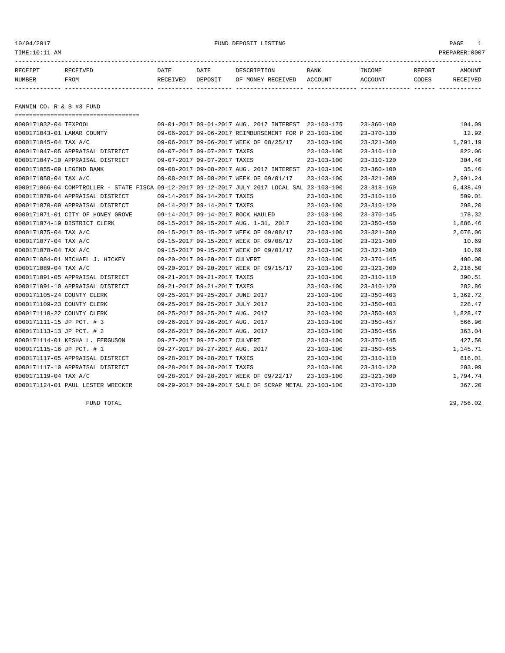# 10/04/2017 FUND DEPOSIT LISTING PAGE 1

| RECEIPT       | RECEIVED    | DATE     | DATE    | DESCRIPTION               | BANK | INCOME  | REPORT       | AMOUNT          |
|---------------|-------------|----------|---------|---------------------------|------|---------|--------------|-----------------|
| <b>NUMBER</b> | <b>FROM</b> | RECEIVED | DEPOSIT | OF MONEY RECEIVED ACCOUNT |      | ACCOUNT | <b>CODES</b> | <b>RECEIVED</b> |
|               |             |          |         |                           |      |         |              |                 |

FANNIN CO. R & B #3 FUND

| -------------------------------------                                                        |                                 |                                                      |                  |                  |          |
|----------------------------------------------------------------------------------------------|---------------------------------|------------------------------------------------------|------------------|------------------|----------|
| 0000171032-04 TEXPOOL                                                                        |                                 | 09-01-2017 09-01-2017 AUG. 2017 INTEREST 23-103-175  |                  | $23 - 360 - 100$ | 194.09   |
| 0000171043-01 LAMAR COUNTY                                                                   |                                 | 09-06-2017 09-06-2017 REIMBURSEMENT FOR P 23-103-100 |                  | $23 - 370 - 130$ | 12.92    |
| 0000171045-04 TAX A/C                                                                        |                                 | 09-06-2017 09-06-2017 WEEK OF 08/25/17               | $23 - 103 - 100$ | $23 - 321 - 300$ | 1,791.19 |
| 0000171047-05 APPRAISAL DISTRICT                                                             | 09-07-2017 09-07-2017 TAXES     |                                                      | $23 - 103 - 100$ | $23 - 310 - 110$ | 822.06   |
| 0000171047-10 APPRAISAL DISTRICT                                                             | 09-07-2017 09-07-2017 TAXES     |                                                      | $23 - 103 - 100$ | $23 - 310 - 120$ | 304.46   |
| 0000171055-09 LEGEND BANK                                                                    |                                 | 09-08-2017 09-08-2017 AUG. 2017 INTEREST 23-103-100  |                  | $23 - 360 - 100$ | 35.46    |
| 0000171058-04 TAX A/C                                                                        |                                 | 09-08-2017 09-08-2017 WEEK OF 09/01/17               | $23 - 103 - 100$ | $23 - 321 - 300$ | 2,991.24 |
| 0000171066-04 COMPTROLLER - STATE FISCA 09-12-2017 09-12-2017 JULY 2017 LOCAL SAL 23-103-100 |                                 |                                                      |                  | $23 - 318 - 160$ | 6,438.49 |
| 0000171070-04 APPRAISAL DISTRICT                                                             | 09-14-2017 09-14-2017 TAXES     |                                                      | $23 - 103 - 100$ | $23 - 310 - 110$ | 509.01   |
| 0000171070-09 APPRAISAL DISTRICT                                                             | 09-14-2017 09-14-2017 TAXES     |                                                      | $23 - 103 - 100$ | $23 - 310 - 120$ | 298.20   |
| 0000171071-01 CITY OF HONEY GROVE                                                            |                                 | 09-14-2017 09-14-2017 ROCK HAULED                    | $23 - 103 - 100$ | $23 - 370 - 145$ | 178.32   |
| 0000171074-19 DISTRICT CLERK                                                                 |                                 | 09-15-2017 09-15-2017 AUG. 1-31, 2017                | $23 - 103 - 100$ | $23 - 350 - 450$ | 1,886.46 |
| 0000171075-04 TAX A/C                                                                        |                                 | 09-15-2017 09-15-2017 WEEK OF 09/08/17               | $23 - 103 - 100$ | $23 - 321 - 300$ | 2,076.06 |
| 0000171077-04 TAX A/C                                                                        |                                 | 09-15-2017 09-15-2017 WEEK OF 09/08/17               | $23 - 103 - 100$ | $23 - 321 - 300$ | 10.69    |
| 0000171078-04 TAX A/C                                                                        |                                 | 09-15-2017 09-15-2017 WEEK OF 09/01/17               | $23 - 103 - 100$ | $23 - 321 - 300$ | 10.69    |
| 0000171084-01 MICHAEL J. HICKEY                                                              | 09-20-2017 09-20-2017 CULVERT   |                                                      | $23 - 103 - 100$ | $23 - 370 - 145$ | 400.00   |
| 0000171089-04 TAX A/C                                                                        |                                 | 09-20-2017 09-20-2017 WEEK OF 09/15/17               | $23 - 103 - 100$ | $23 - 321 - 300$ | 2,218.50 |
| 0000171091-05 APPRAISAL DISTRICT                                                             | 09-21-2017 09-21-2017 TAXES     |                                                      | $23 - 103 - 100$ | $23 - 310 - 110$ | 390.51   |
| 0000171091-10 APPRAISAL DISTRICT                                                             | 09-21-2017 09-21-2017 TAXES     |                                                      | 23-103-100       | $23 - 310 - 120$ | 282.86   |
| 0000171105-24 COUNTY CLERK                                                                   | 09-25-2017 09-25-2017 JUNE 2017 |                                                      | $23 - 103 - 100$ | $23 - 350 - 403$ | 1,362.72 |
| 0000171109-23 COUNTY CLERK                                                                   | 09-25-2017 09-25-2017 JULY 2017 |                                                      | $23 - 103 - 100$ | $23 - 350 - 403$ | 228.47   |
| 0000171110-22 COUNTY CLERK                                                                   | 09-25-2017 09-25-2017 AUG. 2017 |                                                      | $23 - 103 - 100$ | $23 - 350 - 403$ | 1,828.47 |
| 0000171111-15 JP PCT. # 3                                                                    | 09-26-2017 09-26-2017 AUG. 2017 |                                                      | $23 - 103 - 100$ | $23 - 350 - 457$ | 566.96   |
| 0000171113-13 JP PCT. # 2                                                                    | 09-26-2017 09-26-2017 AUG. 2017 |                                                      | $23 - 103 - 100$ | $23 - 350 - 456$ | 363.04   |
| 0000171114-01 KESHA L. FERGUSON                                                              | 09-27-2017 09-27-2017 CULVERT   |                                                      | $23 - 103 - 100$ | $23 - 370 - 145$ | 427.50   |
| 0000171115-16 JP PCT. # 1                                                                    | 09-27-2017 09-27-2017 AUG. 2017 |                                                      | $23 - 103 - 100$ | $23 - 350 - 455$ | 1,145.71 |
| 0000171117-05 APPRAISAL DISTRICT                                                             | 09-28-2017 09-28-2017 TAXES     |                                                      | $23 - 103 - 100$ | $23 - 310 - 110$ | 616.01   |
| 0000171117-10 APPRAISAL DISTRICT                                                             | 09-28-2017 09-28-2017 TAXES     |                                                      | $23 - 103 - 100$ | $23 - 310 - 120$ | 203.99   |
| 0000171119-04 TAX A/C                                                                        |                                 | 09-28-2017 09-28-2017 WEEK OF 09/22/17               | $23 - 103 - 100$ | $23 - 321 - 300$ | 1,794.74 |
| 0000171124-01 PAUL LESTER WRECKER                                                            |                                 | 09-29-2017 09-29-2017 SALE OF SCRAP METAL 23-103-100 |                  | $23 - 370 - 130$ | 367.20   |

FUND TOTAL 29,756.02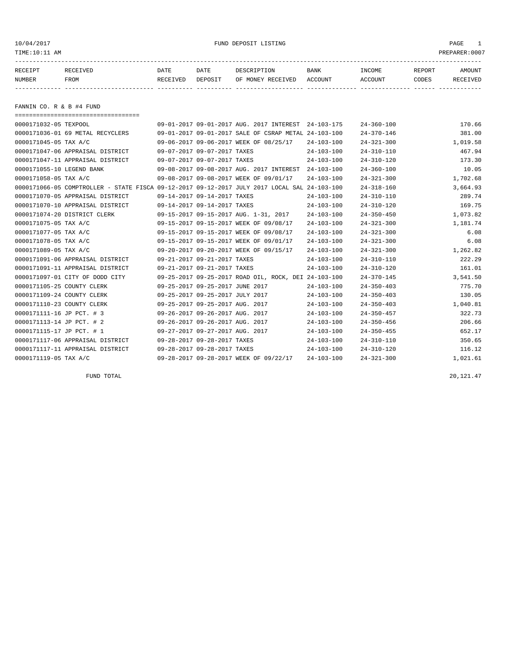#### 10/04/2017 FUND DEPOSIT LISTING PAGE 1

| RECEIPT | RECEIVED | DATE            | DATE    | DESCRIPTION       | <b>BANK</b> | INCOME  | REPORT | AMOUNT          |
|---------|----------|-----------------|---------|-------------------|-------------|---------|--------|-----------------|
| NUMBER  | FROM     | <b>RECEIVED</b> | DEPOSIT | OF MONEY RECEIVED | ACCOUNT     | ACCOUNT | CODES  | <b>RECEIVED</b> |
|         |          |                 |         |                   |             |         |        |                 |

FANNIN CO. R & B #4 FUND

| =====================================                                                        |                                 |                                 |                                                      |                  |                  |          |
|----------------------------------------------------------------------------------------------|---------------------------------|---------------------------------|------------------------------------------------------|------------------|------------------|----------|
| 0000171032-05 TEXPOOL                                                                        |                                 |                                 | 09-01-2017 09-01-2017 AUG. 2017 INTEREST 24-103-175  |                  | $24 - 360 - 100$ | 170.66   |
| 0000171036-01 69 METAL RECYCLERS                                                             |                                 |                                 | 09-01-2017 09-01-2017 SALE OF CSRAP METAL 24-103-100 |                  | $24 - 370 - 146$ | 381.00   |
| 0000171045-05 TAX A/C                                                                        |                                 |                                 | 09-06-2017 09-06-2017 WEEK OF 08/25/17               | $24 - 103 - 100$ | $24 - 321 - 300$ | 1,019.58 |
| 0000171047-06 APPRAISAL DISTRICT                                                             |                                 | 09-07-2017 09-07-2017 TAXES     |                                                      | $24 - 103 - 100$ | $24 - 310 - 110$ | 467.94   |
| 0000171047-11 APPRAISAL DISTRICT                                                             |                                 | 09-07-2017 09-07-2017 TAXES     |                                                      | $24 - 103 - 100$ | $24 - 310 - 120$ | 173.30   |
| 0000171055-10 LEGEND BANK                                                                    |                                 |                                 | 09-08-2017 09-08-2017 AUG. 2017 INTEREST             | $24 - 103 - 100$ | $24 - 360 - 100$ | 10.05    |
| 0000171058-05 TAX A/C                                                                        |                                 |                                 | 09-08-2017 09-08-2017 WEEK OF 09/01/17               | $24 - 103 - 100$ | $24 - 321 - 300$ | 1,702.68 |
| 0000171066-05 COMPTROLLER - STATE FISCA 09-12-2017 09-12-2017 JULY 2017 LOCAL SAL 24-103-100 |                                 |                                 |                                                      |                  | $24 - 318 - 160$ | 3,664.93 |
| 0000171070-05 APPRAISAL DISTRICT                                                             |                                 | 09-14-2017 09-14-2017 TAXES     |                                                      | $24 - 103 - 100$ | $24 - 310 - 110$ | 289.74   |
| 0000171070-10 APPRAISAL DISTRICT                                                             |                                 | 09-14-2017 09-14-2017 TAXES     |                                                      | $24 - 103 - 100$ | $24 - 310 - 120$ | 169.75   |
| 0000171074-20 DISTRICT CLERK                                                                 |                                 |                                 | 09-15-2017 09-15-2017 AUG. 1-31, 2017                | $24 - 103 - 100$ | $24 - 350 - 450$ | 1,073.82 |
| 0000171075-05 TAX A/C                                                                        |                                 |                                 | 09-15-2017 09-15-2017 WEEK OF 09/08/17               | $24 - 103 - 100$ | $24 - 321 - 300$ | 1,181.74 |
| 0000171077-05 TAX A/C                                                                        |                                 |                                 | 09-15-2017 09-15-2017 WEEK OF 09/08/17               | $24 - 103 - 100$ | $24 - 321 - 300$ | 6.08     |
| 0000171078-05 TAX A/C                                                                        |                                 |                                 | 09-15-2017 09-15-2017 WEEK OF 09/01/17               | $24 - 103 - 100$ | $24 - 321 - 300$ | 6.08     |
| 0000171089-05 TAX A/C                                                                        |                                 |                                 | 09-20-2017 09-20-2017 WEEK OF 09/15/17               | $24 - 103 - 100$ | $24 - 321 - 300$ | 1,262.82 |
| 0000171091-06 APPRAISAL DISTRICT                                                             |                                 | 09-21-2017 09-21-2017 TAXES     |                                                      | $24 - 103 - 100$ | $24 - 310 - 110$ | 222.29   |
| 0000171091-11 APPRAISAL DISTRICT                                                             |                                 | 09-21-2017 09-21-2017 TAXES     |                                                      | $24 - 103 - 100$ | $24 - 310 - 120$ | 161.01   |
| 0000171097-01 CITY OF DODD CITY                                                              |                                 |                                 | 09-25-2017 09-25-2017 ROAD OIL, ROCK, DEI 24-103-100 |                  | $24 - 370 - 145$ | 3,541.50 |
| 0000171105-25 COUNTY CLERK                                                                   |                                 | 09-25-2017 09-25-2017 JUNE 2017 |                                                      | $24 - 103 - 100$ | $24 - 350 - 403$ | 775.70   |
| 0000171109-24 COUNTY CLERK                                                                   |                                 | 09-25-2017 09-25-2017 JULY 2017 |                                                      | $24 - 103 - 100$ | $24 - 350 - 403$ | 130.05   |
| 0000171110-23 COUNTY CLERK                                                                   |                                 | 09-25-2017 09-25-2017 AUG. 2017 |                                                      | $24 - 103 - 100$ | $24 - 350 - 403$ | 1,040.81 |
| 0000171111-16 JP PCT. # 3                                                                    |                                 | 09-26-2017 09-26-2017 AUG. 2017 |                                                      | $24 - 103 - 100$ | $24 - 350 - 457$ | 322.73   |
| 0000171113-14 JP PCT. # 2                                                                    | 09-26-2017 09-26-2017 AUG. 2017 |                                 |                                                      | $24 - 103 - 100$ | $24 - 350 - 456$ | 206.66   |
| 0000171115-17 JP PCT. # 1                                                                    |                                 | 09-27-2017 09-27-2017 AUG. 2017 |                                                      | $24 - 103 - 100$ | $24 - 350 - 455$ | 652.17   |
| 0000171117-06 APPRAISAL DISTRICT                                                             |                                 | 09-28-2017 09-28-2017 TAXES     |                                                      | $24 - 103 - 100$ | $24 - 310 - 110$ | 350.65   |
| 0000171117-11 APPRAISAL DISTRICT                                                             |                                 | 09-28-2017 09-28-2017 TAXES     |                                                      | $24 - 103 - 100$ | $24 - 310 - 120$ | 116.12   |
| 0000171119-05 TAX A/C                                                                        |                                 |                                 | 09-28-2017 09-28-2017 WEEK OF 09/22/17               | $24 - 103 - 100$ | $24 - 321 - 300$ | 1,021.61 |

FUND TOTAL  $20,121.47$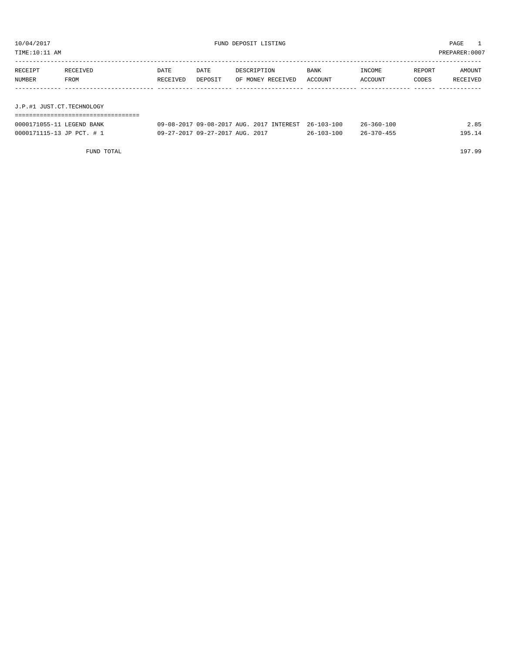| TIME:10:11 AM             |          |          |         |                                          |            |                  |        | PREPARER: 0007 |
|---------------------------|----------|----------|---------|------------------------------------------|------------|------------------|--------|----------------|
| RECEIPT                   | RECEIVED | DATE     | DATE    | DESCRIPTION                              | BANK       | INCOME           | REPORT | AMOUNT         |
| <b>NUMBER</b>             | FROM     | RECEIVED | DEPOSIT | OF MONEY RECEIVED                        | ACCOUNT    | ACCOUNT          | CODES  | RECEIVED       |
|                           |          |          |         |                                          |            |                  |        |                |
| J.P.#1 JUST.CT.TECHNOLOGY |          |          |         |                                          |            |                  |        |                |
|                           |          |          |         |                                          |            |                  |        |                |
| 0000171055-11 LEGEND BANK |          |          |         | 09-08-2017 09-08-2017 AUG. 2017 INTEREST | 26-103-100 | $26 - 360 - 100$ |        | 2.85           |

| 0000171115-1<br>ידים ה<br>-2. JD | 2017<br>7 AUG.<br>$27 - 201'$<br>$\sim$ $\sim$<br>$27 - 2017$<br>ng.<br>$09 - 2$ | 10 <sup>r</sup><br>$\sim$<br>ノトー | <b>QГ</b><br>$\overline{\phantom{a}}$ |
|----------------------------------|----------------------------------------------------------------------------------|----------------------------------|---------------------------------------|
|                                  |                                                                                  |                                  |                                       |

FUND TOTAL 197.99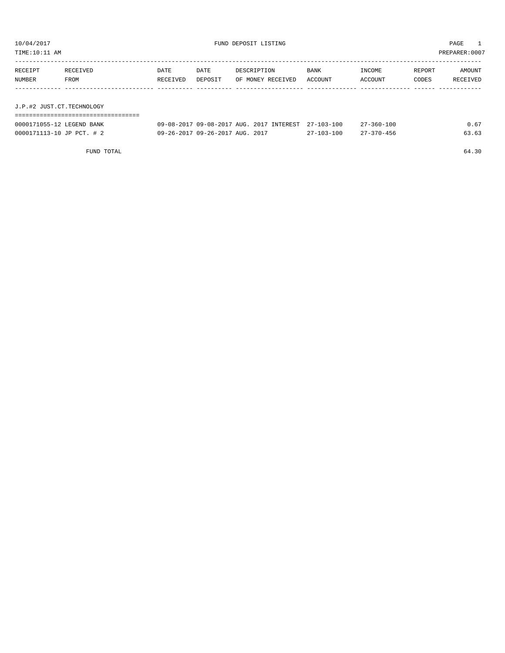| 10/04/2017<br>FUND DEPOSIT LISTING<br>TIME: 10:11 AM |          |          |                                 |                                                     |                  |                  | PAGE<br>PREPARER: 0007 |          |
|------------------------------------------------------|----------|----------|---------------------------------|-----------------------------------------------------|------------------|------------------|------------------------|----------|
| RECEIPT                                              | RECEIVED | DATE     | DATE                            | DESCRIPTION                                         | BANK             | INCOME           | REPORT                 | AMOUNT   |
| NUMBER                                               | FROM     | RECEIVED | DEPOSIT                         | OF MONEY RECEIVED                                   | ACCOUNT          | ACCOUNT          | CODES                  | RECEIVED |
|                                                      |          |          |                                 |                                                     |                  |                  |                        |          |
|                                                      |          |          |                                 |                                                     |                  |                  |                        |          |
| J.P.#2 JUST.CT.TECHNOLOGY                            |          |          |                                 |                                                     |                  |                  |                        |          |
|                                                      |          |          |                                 |                                                     |                  |                  |                        |          |
| 0000171055-12 LEGEND BANK                            |          |          |                                 | 09-08-2017 09-08-2017 AUG. 2017 INTEREST 27-103-100 |                  | $27 - 360 - 100$ |                        | 0.67     |
| 0000171113-10 JP PCT. # 2                            |          |          | 09-26-2017 09-26-2017 AUG. 2017 |                                                     | $27 - 103 - 100$ | $27 - 370 - 456$ |                        | 63.63    |

FUND TOTAL 64.30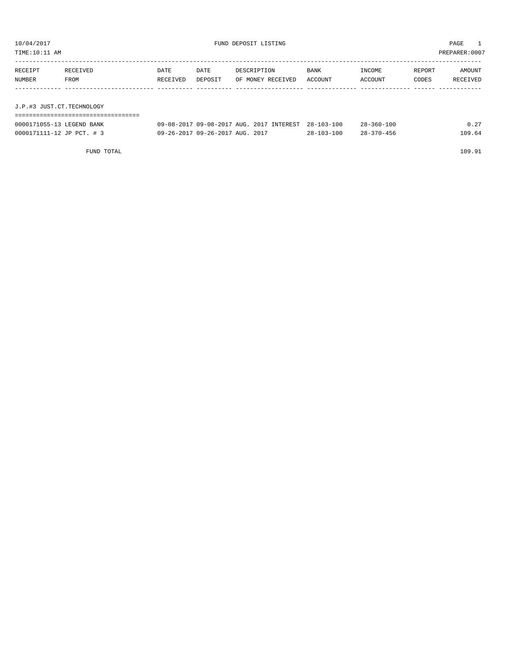| PREPARER: 0007<br>TIME: 10:11 AM |                             |          |                                 |                                          |                  |                  |        |          |  |
|----------------------------------|-----------------------------|----------|---------------------------------|------------------------------------------|------------------|------------------|--------|----------|--|
| RECEIPT                          | RECEIVED                    | DATE     | DATE                            | DESCRIPTION                              | BANK             | INCOME           | REPORT | AMOUNT   |  |
| NUMBER                           | FROM                        | RECEIVED | DEPOSIT                         | OF MONEY RECEIVED                        | ACCOUNT          | ACCOUNT          | CODES  | RECEIVED |  |
|                                  |                             |          |                                 |                                          |                  |                  |        |          |  |
| J.P.#3 JUST.CT.TECHNOLOGY        |                             |          |                                 |                                          |                  |                  |        |          |  |
|                                  | =========================== |          |                                 |                                          |                  |                  |        |          |  |
| 0000171055-13 LEGEND BANK        |                             |          |                                 | 09-08-2017 09-08-2017 AUG. 2017 INTEREST | $28 - 103 - 100$ | $28 - 360 - 100$ |        | 0.27     |  |
| 0000171111-12 JP PCT. # 3        |                             |          | 09-26-2017 09-26-2017 AUG. 2017 |                                          | $28 - 103 - 100$ | $28 - 370 - 456$ |        | 109.64   |  |

FUND TOTAL 109.91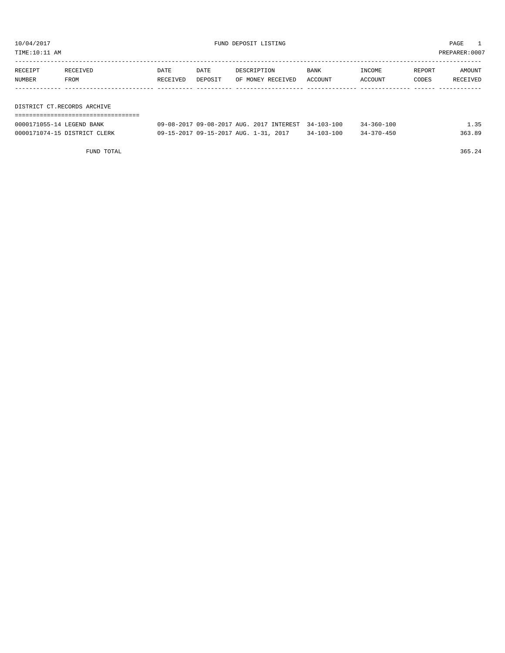TIME:10:11 AM PREPARER:0007

| RECEIPT | RECEIVED                    | DATE     | DATE    | DESCRIPTION       | BANK    | INCOME  | REPORT | AMOUNT   |
|---------|-----------------------------|----------|---------|-------------------|---------|---------|--------|----------|
| NUMBER  | FROM                        | RECEIVED | DEPOSIT | OF MONEY RECEIVED | ACCOUNT | ACCOUNT | CODES  | RECEIVED |
|         |                             |          |         |                   |         |         |        |          |
|         |                             |          |         |                   |         |         |        |          |
|         | DISTRICT CT.RECORDS ARCHIVE |          |         |                   |         |         |        |          |
|         |                             |          |         |                   |         |         |        |          |

| 0000171055-14 LEGEND BANK    | 09-08-2017 09-08-2017 AUG. 2017 INTEREST 34-103-100 |            | 34-360-100       | 1.35   |
|------------------------------|-----------------------------------------------------|------------|------------------|--------|
| 0000171074-15 DISTRICT CLERK | 09-15-2017 09-15-2017 AUG. 1-31, 2017               | 34-103-100 | $34 - 370 - 450$ | 363.89 |

FUND TOTAL 365.24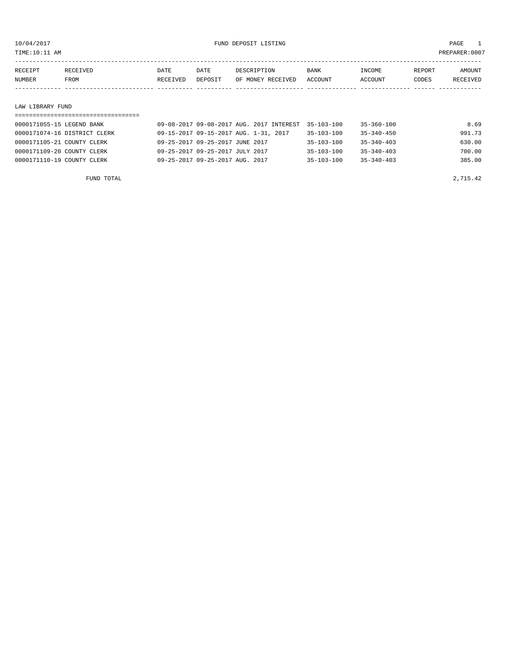TIME:10:11 AM PREPARER:0007

| RECEIPT | RECEIVED    | DATE     | DATE    | DESCRIPTION       | <b>BANK</b> | INCOME  | REPORT | AMOUNT   |
|---------|-------------|----------|---------|-------------------|-------------|---------|--------|----------|
| NUMBER  | <b>FROM</b> | RECEIVED | DEPOSIT | OF MONEY RECEIVED | ACCOUNT     | ACCOUNT | CODES  | RECEIVED |
|         |             |          |         |                   |             |         |        |          |
|         |             |          |         |                   |             |         |        |          |

#### LAW LIBRARY FUND

| 0000171055-15 LEGEND BANK    | 09-08-2017 09-08-2017 AUG. 2017 INTEREST | $35 - 103 - 100$ | $35 - 360 - 100$ | 8.69   |
|------------------------------|------------------------------------------|------------------|------------------|--------|
| 0000171074-16 DISTRICT CLERK | 09-15-2017 09-15-2017 AUG. 1-31, 2017    | $35 - 103 - 100$ | $35 - 340 - 450$ | 991.73 |
| 0000171105-21 COUNTY CLERK   | 09-25-2017 09-25-2017 JUNE 2017          | $35 - 103 - 100$ | $35 - 340 - 403$ | 630.00 |
| 0000171109-20 COUNTY CLERK   | 09-25-2017 09-25-2017 JULY 2017          | $35 - 103 - 100$ | $35 - 340 - 403$ | 700.00 |
| 0000171110-19 COUNTY CLERK   | 09-25-2017 09-25-2017 AUG. 2017          | $35 - 103 - 100$ | $35 - 340 - 403$ | 385.00 |
|                              |                                          |                  |                  |        |

FUND TOTAL 2,715.42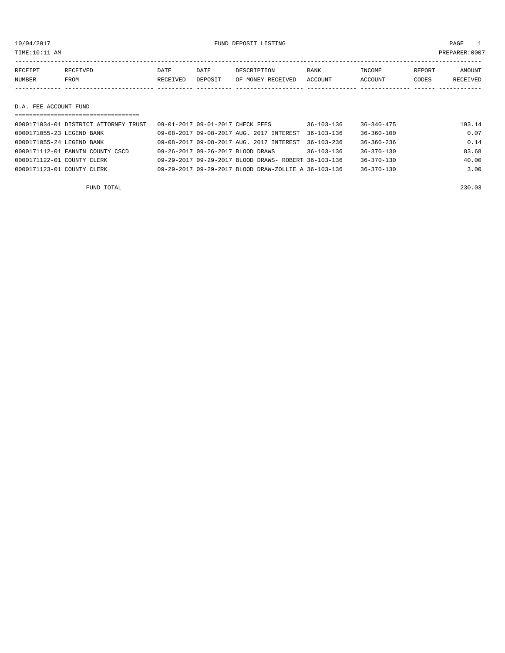10/04/2017 FUND DEPOSIT LISTING PAGE 1

| RECEIPT | RECEIVED | DATE     | DATE    | DESCRIPTION       | BANK    | INCOME  | REPORT | <b>AMOUNT</b> |
|---------|----------|----------|---------|-------------------|---------|---------|--------|---------------|
| NUMBER  | FROM     | RECEIVED | DEPOSIT | OF MONEY RECEIVED | ACCOUNT | ACCOUNT | CODES  | RECEIVED      |
|         |          |          |         |                   |         |         |        |               |
|         |          |          |         |                   |         |         |        |               |

# D.A. FEE ACCOUNT FUND

| ===================================   |                                                      |                  |                  |        |
|---------------------------------------|------------------------------------------------------|------------------|------------------|--------|
| 0000171034-01 DISTRICT ATTORNEY TRUST | 09-01-2017 09-01-2017 CHECK FEES                     | $36 - 103 - 136$ | $36 - 340 - 475$ | 103.14 |
| 0000171055-23 LEGEND BANK             | 09-08-2017 09-08-2017 AUG. 2017 INTEREST             | $36 - 103 - 136$ | $36 - 360 - 100$ | 0.07   |
| 0000171055-24 LEGEND BANK             | 09-08-2017 09-08-2017 AUG. 2017 INTEREST             | $36 - 103 - 236$ | $36 - 360 - 236$ | 0.14   |
| 0000171112-01 FANNIN COUNTY CSCD      | 09-26-2017 09-26-2017 BLOOD DRAWS                    | $36 - 103 - 136$ | $36 - 370 - 130$ | 83.68  |
| 0000171122-01 COUNTY CLERK            | 09-29-2017 09-29-2017 BLOOD DRAWS- ROBERT 36-103-136 |                  | $36 - 370 - 130$ | 40.00  |
| 0000171123-01 COUNTY CLERK            | 09-29-2017 09-29-2017 BLOOD DRAW-ZOLLIE A 36-103-136 |                  | $36 - 370 - 130$ | 3.00   |
|                                       |                                                      |                  |                  |        |

FUND TOTAL 230.03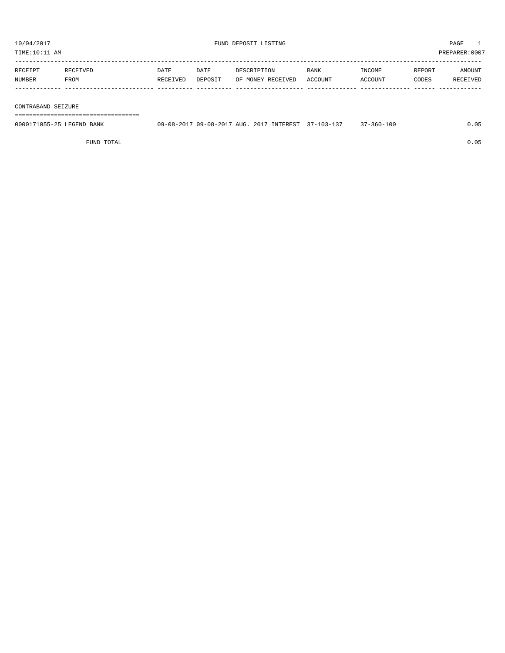TIME:10:11 AM PREPARER:0007 -----------------------------------------------------------------------------------------------------------------------------------

| RECEIPT       |      | DATE            | DATE           |                      | <b>BANK</b>    | <b>INCOME</b> | <b>REPORT</b> | AMOUNT |
|---------------|------|-----------------|----------------|----------------------|----------------|---------------|---------------|--------|
| <b>NUMBER</b> | FROM | <b>RECEIVED</b> | <b>DEPOSTT</b> | RECEIVED<br>OF MONEY | <b>ACCOUNT</b> | `CCOUNT       | CODES         |        |
|               |      |                 |                |                      |                |               |               |        |

#### CONTRABAND SEIZURE

===================================

| 0000171055-25 LEGEND BANK | 09-08-2017 09-08-2017 AUG. 2017 INTEREST 37-103-137 |  | $37 - 360 - 100$ |  |
|---------------------------|-----------------------------------------------------|--|------------------|--|
|                           |                                                     |  |                  |  |

FUND TOTAL 0.05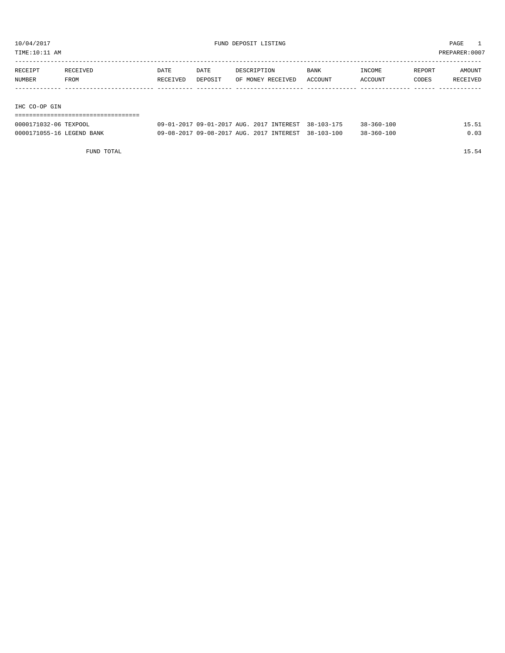TIME:10:11 AM PREPARER:0007

| RECEIPT       | RECEIVED | DATE     | DATE    | DESCRIPTION       | <b>BANK</b> | INCOME         | REPORT | AMOUNT   |
|---------------|----------|----------|---------|-------------------|-------------|----------------|--------|----------|
| NUMBER        | FROM     | RECEIVED | DEPOSIT | OF MONEY RECEIVED | ACCOUNT     | <b>ACCOUNT</b> | CODES  | RECEIVED |
|               |          |          |         |                   |             |                |        |          |
|               |          |          |         |                   |             |                |        |          |
| IHC CO-OP GIN |          |          |         |                   |             |                |        |          |

===================================

| 0000171032-06 TEXPOOL     | 09-01-2017 09-01-2017 AUG. 2017 INTEREST 38-103-175 |  | $38 - 360 - 100$ | 15.51 |
|---------------------------|-----------------------------------------------------|--|------------------|-------|
| 0000171055-16 LEGEND BANK | 09-08-2017 09-08-2017 AUG. 2017 INTEREST 38-103-100 |  | $38 - 360 - 100$ | 0.03  |

FUND TOTAL 15.54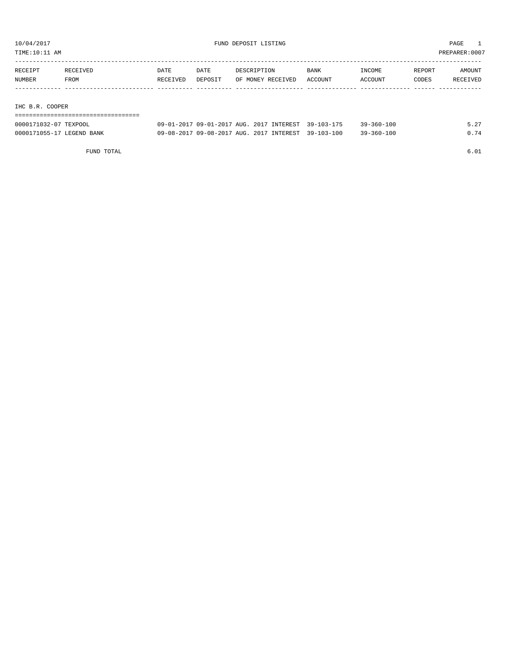TIME:10:11 AM PREPARER:0007

| RECEIPT         | RECEIVED | DATE     | DATE    | DESCRIPTION       | <b>BANK</b> | INCOME  | REPORT | AMOUNT   |  |  |
|-----------------|----------|----------|---------|-------------------|-------------|---------|--------|----------|--|--|
| NUMBER          | FROM     | RECEIVED | DEPOSIT | OF MONEY RECEIVED | ACCOUNT     | ACCOUNT | CODES  | RECEIVED |  |  |
|                 |          |          |         |                   |             |         |        |          |  |  |
|                 |          |          |         |                   |             |         |        |          |  |  |
| IHC B.R. COOPER |          |          |         |                   |             |         |        |          |  |  |
|                 |          |          |         |                   |             |         |        |          |  |  |

| 0000171032-07 TEXPOOL     | 09-01-2017 09-01-2017 AUG. 2017 INTEREST 39-103-175 |  | $39 - 360 - 100$ | 5.27 |
|---------------------------|-----------------------------------------------------|--|------------------|------|
| 0000171055-17 LEGEND BANK | 09-08-2017 09-08-2017 AUG. 2017 INTEREST 39-103-100 |  | $39 - 360 - 100$ | 0.74 |

FUND TOTAL 6.01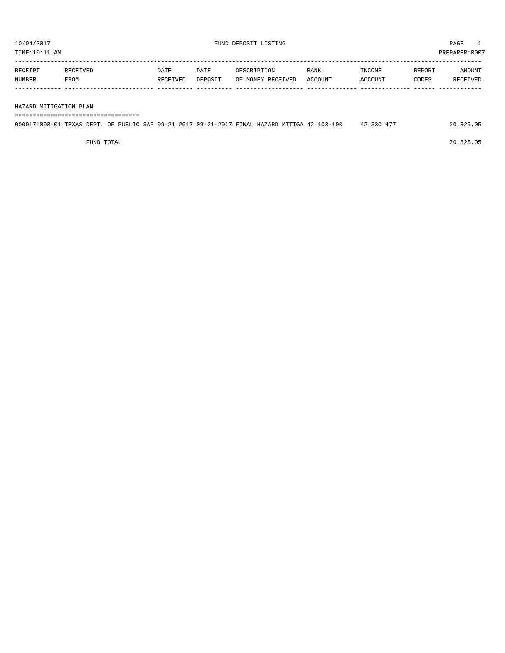| RECEIPT | RECEIVED | DATE     | DATE    | DESCRIPTION       | <b>BANK</b> | INCOME         | REPORT | AMOUNT   |
|---------|----------|----------|---------|-------------------|-------------|----------------|--------|----------|
| NUMBER  | FROM     | RECEIVED | DEPOSIT | OF MONEY RECEIVED | ACCOUNT     | <b>ACCOUNT</b> | CODES  | RECEIVED |
|         |          |          |         |                   |             |                |        |          |

#### HAZARD MITIGATION PLAN

===================================

| 0000171093-01 TEXAS DEPT. OF PUBLIC SAF 09-21-2017 09-21-2017 FINAL HAZARD MITIGA 42-103-100 |  |  |  | $42 - 330 - 477$ | 20,825.05 |
|----------------------------------------------------------------------------------------------|--|--|--|------------------|-----------|
|                                                                                              |  |  |  |                  |           |

FUND TOTAL 20,825.05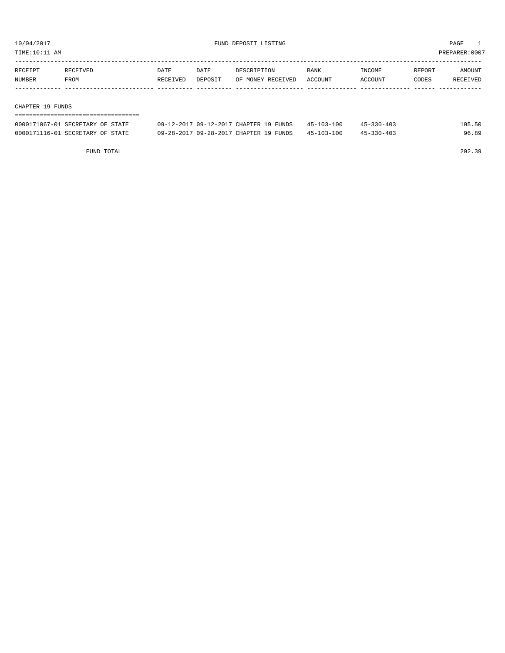TIME:10:11 AM PREPARER:0007

| RECEIPT | RECEIVED | DATE     | DATE    | DESCRIPTION       | <b>BANK</b> | INCOME  | REPORT | AMOUNT   |
|---------|----------|----------|---------|-------------------|-------------|---------|--------|----------|
| NUMBER  | FROM     | RECEIVED | DEPOSIT | OF MONEY RECEIVED | ACCOUNT     | ACCOUNT | CODES  | RECEIVED |
|         |          |          |         |                   |             |         |        |          |
|         |          |          |         |                   |             |         |        |          |

#### CHAPTER 19 FUNDS

| ---------------------------------- |                                        |            |            |        |
|------------------------------------|----------------------------------------|------------|------------|--------|
| 0000171067-01 SECRETARY OF STATE   | 09-12-2017 09-12-2017 CHAPTER 19 FUNDS | 45-103-100 | 45-330-403 | 105.50 |
| 0000171116-01 SECRETARY OF STATE   | 09-28-2017 09-28-2017 CHAPTER 19 FUNDS | 45-103-100 | 45-330-403 | 96.89  |

FUND TOTAL 202.39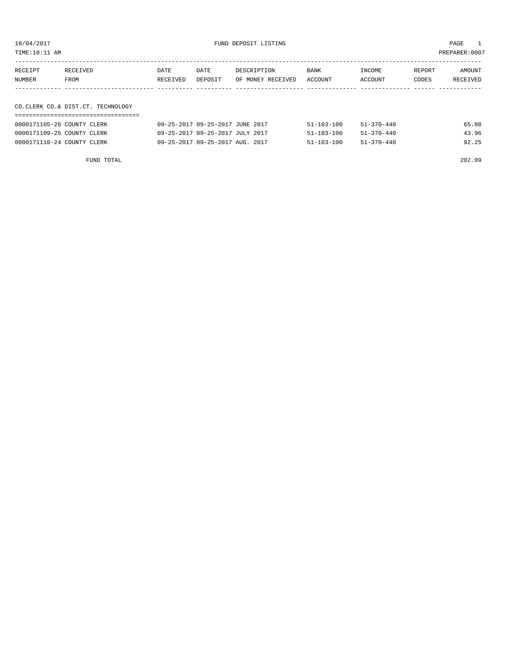10/04/2017 FUND DEPOSIT LISTING PAGE 1

| RECEIPT<br>NUMBER | RECEIVED<br>FROM                  | DATE<br>RECEIVED | DATE<br>DEPOSIT | DESCRIPTION<br>OF MONEY RECEIVED | BANK<br>ACCOUNT | INCOME<br>ACCOUNT | REPORT<br>CODES | AMOUNT<br>RECEIVED |
|-------------------|-----------------------------------|------------------|-----------------|----------------------------------|-----------------|-------------------|-----------------|--------------------|
|                   |                                   |                  |                 |                                  |                 |                   |                 |                    |
|                   | CO.CLERK CO.& DIST.CT. TECHNOLOGY |                  |                 |                                  |                 |                   |                 |                    |
|                   |                                   |                  |                 |                                  |                 |                   |                 |                    |

| 0000171105-26 COUNTY CLERK | 09-25-2017 09-25-2017 JUNE 2017 | $51 - 103 - 100$ | 51-370-440       | 65.88 |
|----------------------------|---------------------------------|------------------|------------------|-------|
| 0000171109-25 COUNTY CLERK | 09-25-2017 09-25-2017 JULY 2017 | $51 - 103 - 100$ | $51 - 370 - 440$ | 43.96 |
| 0000171110-24 COUNTY CLERK | 09-25-2017 09-25-2017 AUG. 2017 | $51 - 103 - 100$ | 51-370-440       | 92.25 |

FUND TOTAL 202.09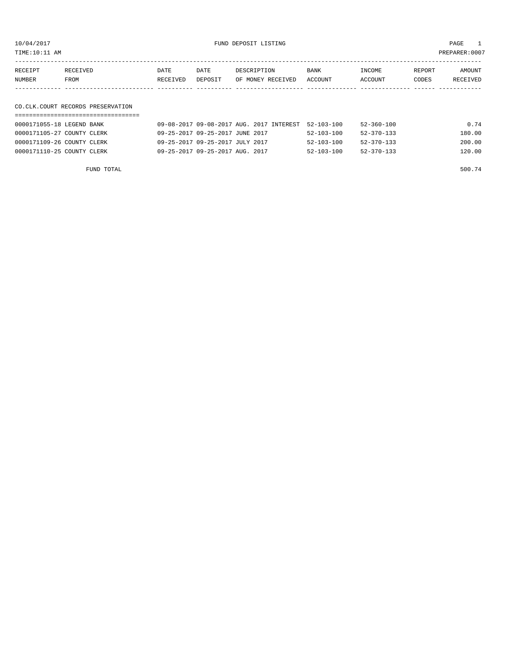10/04/2017 FUND DEPOSIT LISTING PAGE 1

| RECEIPT | RECEIVED | DATE     | DATE    | DESCRIPTION       | <b>BANK</b> | INCOME  | REPORT | AMOUNT          |
|---------|----------|----------|---------|-------------------|-------------|---------|--------|-----------------|
| NUMBER  | FROM     | RECEIVED | DEPOSIT | OF MONEY RECEIVED | ACCOUNT     | ACCOUNT | CODES  | <b>RECEIVED</b> |
|         |          |          |         |                   |             |         |        |                 |

# CO.CLK.COURT RECORDS PRESERVATION

| 0000171055-18 LEGEND BANK  | 09-08-2017 09-08-2017 AUG. 2017 INTEREST 52-103-100 |                  | $52 - 360 - 100$ | 0.74   |
|----------------------------|-----------------------------------------------------|------------------|------------------|--------|
| 0000171105-27 COUNTY CLERK | 09-25-2017 09-25-2017 JUNE 2017                     | $52 - 103 - 100$ | 52-370-133       | 180.00 |
| 0000171109-26 COUNTY CLERK | 09-25-2017 09-25-2017 JULY 2017                     | $52 - 103 - 100$ | 52-370-133       | 200.00 |
| 0000171110-25 COUNTY CLERK | 09-25-2017 09-25-2017 AUG. 2017                     | $52 - 103 - 100$ | 52-370-133       | 120.00 |

FUND TOTAL  $500.74$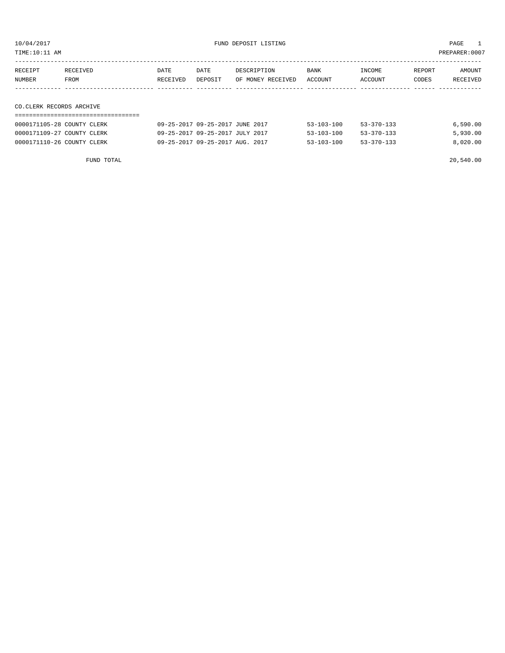10/04/2017 FUND DEPOSIT LISTING PAGE 1

| RECEIPT | RECEIVED                 | DATE     | DATE    | DESCRIPTION       | BANK    | INCOME  | REPORT | AMOUNT   |  |  |
|---------|--------------------------|----------|---------|-------------------|---------|---------|--------|----------|--|--|
| NUMBER  | FROM                     | RECEIVED | DEPOSIT | OF MONEY RECEIVED | ACCOUNT | ACCOUNT | CODES  | RECEIVED |  |  |
|         |                          |          |         |                   |         |         |        |          |  |  |
|         |                          |          |         |                   |         |         |        |          |  |  |
|         | CO.CLERK RECORDS ARCHIVE |          |         |                   |         |         |        |          |  |  |
|         |                          |          |         |                   |         |         |        |          |  |  |

| 0000171105-28 COUNTY CLERK | 09-25-2017 09-25-2017 JUNE 2017 | $53 - 103 - 100$ | $53 - 370 - 133$ | 6.590.00 |
|----------------------------|---------------------------------|------------------|------------------|----------|
| 0000171109-27 COUNTY CLERK | 09-25-2017 09-25-2017 JULY 2017 | $53 - 103 - 100$ | $53 - 370 - 133$ | 5,930.00 |
| 0000171110-26 COUNTY CLERK | 09-25-2017 09-25-2017 AUG. 2017 | $53 - 103 - 100$ | $53 - 370 - 133$ | 8,020.00 |

FUND TOTAL 20,540.00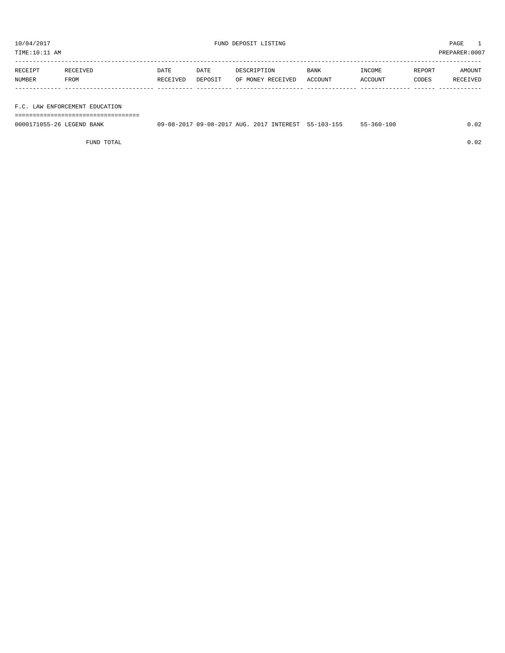TIME:10:11 AM PREPARER:0007

| RECEIPT | RECEIVED    | DATE     | DATE    | DESCRIPTION       | BANK    | INCOME  | REPORT | AMOUNT   |
|---------|-------------|----------|---------|-------------------|---------|---------|--------|----------|
| NUMBER  | <b>FROM</b> | RECEIVED | DEPOSIT | OF MONEY RECEIVED | ACCOUNT | ACCOUNT | CODES  | RECEIVED |
|         |             |          |         |                   |         |         |        |          |
|         |             |          |         |                   |         |         |        |          |

F.C. LAW ENFORCEMENT EDUCATION

===================================

| 0000171055-26 LEGEND BANK | 09-08-2017 09-08-2017 AUG. 2017 INTEREST 55-103-155 |  | $55 - 360 - 100$ | 02. ( |
|---------------------------|-----------------------------------------------------|--|------------------|-------|
|                           |                                                     |  |                  |       |

FUND TOTAL 0.02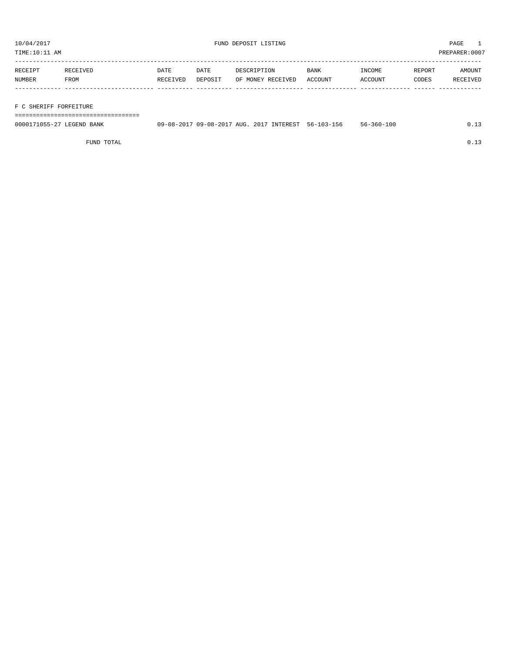TIME:10:11 AM PREPARER:0007

| RECEIPT | RECEIVED | DATE     | DATE    | DESCRIPTION       | BANK    | INCOME  | REPORT | AMOUNT   |
|---------|----------|----------|---------|-------------------|---------|---------|--------|----------|
| NUMBER  | FROM     | RECEIVED | DEPOSIT | OF MONEY RECEIVED | ACCOUNT | ACCOUNT | CODES  | RECEIVED |
|         |          |          |         |                   |         |         |        |          |
|         |          |          |         |                   |         |         |        |          |

### F C SHERIFF FORFEITURE

===================================

| 0000171055-27 LEGEND BANK | 09-08-2017 09-08-2017 AUG. 2017 INTEREST 56-103-156 |  | 56-360-100 | د ⊥ . |
|---------------------------|-----------------------------------------------------|--|------------|-------|
|                           |                                                     |  |            |       |

FUND TOTAL  $0.13$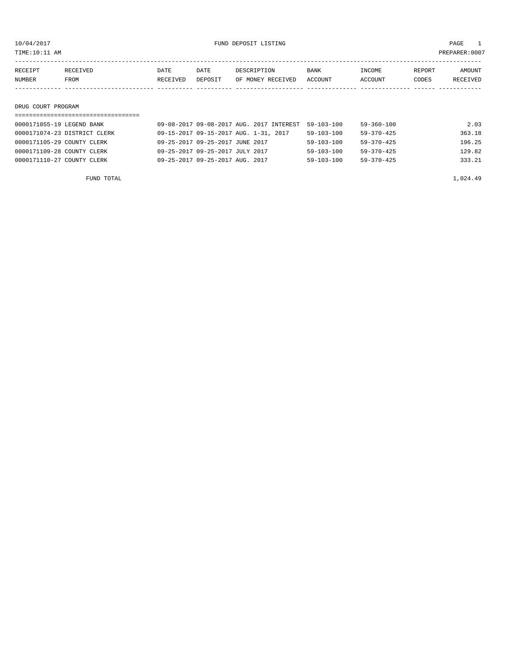TIME:10:11 AM PREPARER:0007

| RECEIPT | RECEIVED | DATE     | DATE    | DESCRIPTION       | BANK    | INCOME  | REPORT | AMOUNT   |
|---------|----------|----------|---------|-------------------|---------|---------|--------|----------|
| NUMBER  | FROM     | RECEIVED | DEPOSIT | OF MONEY RECEIVED | ACCOUNT | ACCOUNT | CODES  | RECEIVED |
|         |          |          |         |                   |         |         |        |          |
|         |          |          |         |                   |         |         |        |          |

## DRUG COURT PROGRAM

| 0000171055-19 LEGEND BANK    |                                       | 09-08-2017 09-08-2017 AUG. 2017 INTEREST | $59 - 103 - 100$ | 59-360-100       | 2.03   |
|------------------------------|---------------------------------------|------------------------------------------|------------------|------------------|--------|
| 0000171074-23 DISTRICT CLERK | 09-15-2017 09-15-2017 AUG. 1-31, 2017 |                                          | $59 - 103 - 100$ | $59 - 370 - 425$ | 363.18 |
| 0000171105-29 COUNTY CLERK   | 09-25-2017 09-25-2017 JUNE 2017       |                                          | $59 - 103 - 100$ | $59 - 370 - 425$ | 196.25 |
| 0000171109-28 COUNTY CLERK   | 09-25-2017 09-25-2017 JULY 2017       |                                          | $59 - 103 - 100$ | $59 - 370 - 425$ | 129.82 |
| 0000171110-27 COUNTY CLERK   | 09-25-2017 09-25-2017 AUG. 2017       |                                          | $59 - 103 - 100$ | $59 - 370 - 425$ | 333.21 |
|                              |                                       |                                          |                  |                  |        |

FUND TOTAL  $1,024.49$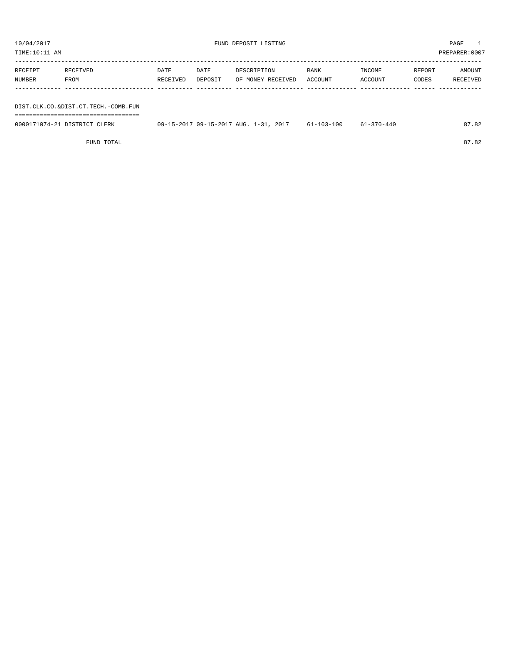| TIME:10:11 AM     |                                     |                  |                 |                                  |                 |                   |                 | PREPARER: 0007     |
|-------------------|-------------------------------------|------------------|-----------------|----------------------------------|-----------------|-------------------|-----------------|--------------------|
| RECEIPT<br>NUMBER | RECEIVED<br>FROM                    | DATE<br>RECEIVED | DATE<br>DEPOSIT | DESCRIPTION<br>OF MONEY RECEIVED | BANK<br>ACCOUNT | INCOME<br>ACCOUNT | REPORT<br>CODES | AMOUNT<br>RECEIVED |
|                   |                                     |                  |                 |                                  |                 |                   |                 |                    |
|                   | DIST.CLK.CO.&DIST.CT.TECH.-COMB.FUN |                  |                 |                                  |                 |                   |                 |                    |

===================================

| 0000171074-21 DISTRICT CLERK | 09-15-2017 09-15-2017 AUG. 1-31, 2017 | $61 - 103 - 100$ | $61 - 370 - 440$ | 87.82 |
|------------------------------|---------------------------------------|------------------|------------------|-------|
|                              |                                       |                  |                  |       |

FUND TOTAL 87.82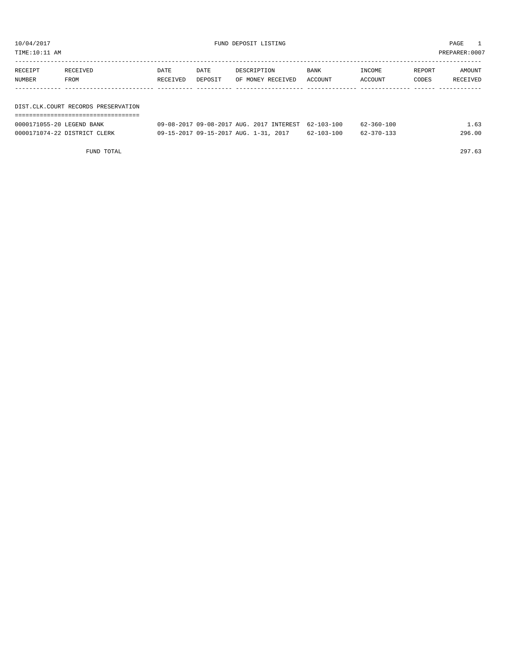TIME:10:11 AM PREPARER:0007

| RECEIPT | RECEIVED                              | DATE     | DATE    | DESCRIPTION       | <b>BANK</b> | INCOME  | REPORT | AMOUNT   |
|---------|---------------------------------------|----------|---------|-------------------|-------------|---------|--------|----------|
| NUMBER  | FROM                                  | RECEIVED | DEPOSIT | OF MONEY RECEIVED | ACCOUNT     | ACCOUNT | CODES  | RECEIVED |
|         |                                       |          |         |                   |             |         |        |          |
|         |                                       |          |         |                   |             |         |        |          |
|         | DIST. CLK. COURT RECORDS PRESERVATION |          |         |                   |             |         |        |          |

| -------------------------------------<br>------------------------------------ |  |  |  |  |  |  |  |  |  |  |  |  |  |  |  |  |  |  |
|-------------------------------------------------------------------------------|--|--|--|--|--|--|--|--|--|--|--|--|--|--|--|--|--|--|
|                                                                               |  |  |  |  |  |  |  |  |  |  |  |  |  |  |  |  |  |  |

| 0000171055-20 LEGEND BANK    | 09-08-2017 09-08-2017 AUG. 2017 INTEREST 62-103-100 |                  | $62 - 360 - 100$ | 1.63   |
|------------------------------|-----------------------------------------------------|------------------|------------------|--------|
| 0000171074-22 DISTRICT CLERK | 09-15-2017 09-15-2017 AUG. 1-31, 2017               | $62 - 103 - 100$ | 62-370-133       | 296.00 |

FUND TOTAL 297.63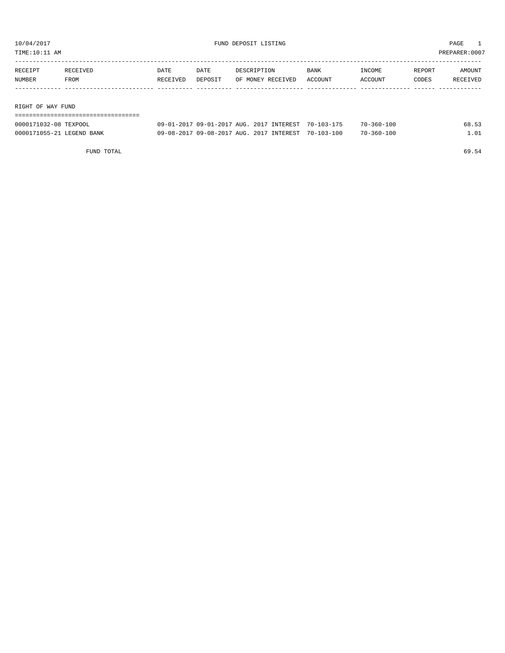TIME:10:11 AM PREPARER:0007

| RECEIPT           | RECEIVED | DATE     | DATE    | DESCRIPTION       | <b>BANK</b> | INCOME  | REPORT | AMOUNT   |
|-------------------|----------|----------|---------|-------------------|-------------|---------|--------|----------|
| NUMBER            | FROM     | RECEIVED | DEPOSIT | OF MONEY RECEIVED | ACCOUNT     | ACCOUNT | CODES  | RECEIVED |
|                   |          |          |         |                   |             |         |        |          |
|                   |          |          |         |                   |             |         |        |          |
| RIGHT OF WAY FUND |          |          |         |                   |             |         |        |          |

| 0000171032-08 TEXPOOL     | 09-01-2017 09-01-2017 AUG. 2017 INTEREST 70-103-175 |  | $70 - 360 - 100$ | 68.53 |
|---------------------------|-----------------------------------------------------|--|------------------|-------|
| 0000171055-21 LEGEND BANK | 09-08-2017 09-08-2017 AUG. 2017 INTEREST 70-103-100 |  | $70 - 360 - 100$ | n1    |

FUND TOTAL 69.54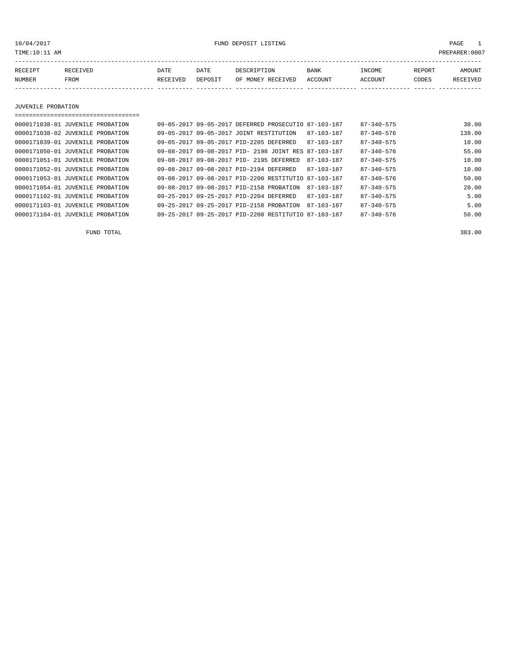10/04/2017 FUND DEPOSIT LISTING PAGE 1

| RECEIPT | <b>RECEIVED</b> | DATE     | DATE    | DESCRIPTION       | <b>BANK</b> | INCOME  | <b>REPORT</b> | AMOUNT          |
|---------|-----------------|----------|---------|-------------------|-------------|---------|---------------|-----------------|
| NUMBER  | FROM            | RECEIVED | DEPOSIT | OF MONEY RECEIVED | ACCOUNT     | ACCOUNT | CODES         | <b>RECEIVED</b> |
|         |                 |          |         |                   |             |         |               |                 |

JUVENILE PROBATION

| 0000171038-01 JUVENILE PROBATION | 09-05-2017 09-05-2017 DEFERRED PROSECUTIO 87-103-187 |                  | $87 - 340 - 575$ | 30.00  |
|----------------------------------|------------------------------------------------------|------------------|------------------|--------|
| 0000171038-02 JUVENILE PROBATION | 09-05-2017 09-05-2017 JOINT RESTITUTION              | 87-103-187       | 87-340-576       | 138.00 |
| 0000171039-01 JUVENILE PROBATION | 09-05-2017 09-05-2017 PID-2205 DEFERRED              | 87-103-187       | $87 - 340 - 575$ | 10.00  |
| 0000171050-01 JUVENILE PROBATION | 09-08-2017 09-08-2017 PID- 2198 JOINT RES 87-103-187 |                  | $87 - 340 - 576$ | 55.00  |
| 0000171051-01 JUVENILE PROBATION | 09-08-2017 09-08-2017 PID- 2195 DEFERRED             | 87-103-187       | $87 - 340 - 575$ | 10.00  |
| 0000171052-01 JUVENILE PROBATION | 09-08-2017 09-08-2017 PID-2194 DEFERRED              | 87-103-187       | $87 - 340 - 575$ | 10.00  |
| 0000171053-01 JUVENILE PROBATION | 09-08-2017 09-08-2017 PID-2200 RESTITUTIO 87-103-187 |                  | $87 - 340 - 576$ | 50.00  |
| 0000171054-01 JUVENILE PROBATION | 09-08-2017 09-08-2017 PID-2158 PROBATION             | $87 - 103 - 187$ | $87 - 340 - 575$ | 20.00  |
| 0000171102-01 JUVENILE PROBATION | 09-25-2017 09-25-2017 PID-2204 DEFERRED              | $87 - 103 - 187$ | $87 - 340 - 575$ | 5.00   |
| 0000171103-01 JUVENILE PROBATION | 09-25-2017 09-25-2017 PID-2158 PROBATION             | 87-103-187       | $87 - 340 - 575$ | 5.00   |
| 0000171104-01 JUVENILE PROBATION | 09-25-2017 09-25-2017 PID-2200 RESTITUTIO 87-103-187 |                  | $87 - 340 - 576$ | 50.00  |

FUND TOTAL 383.00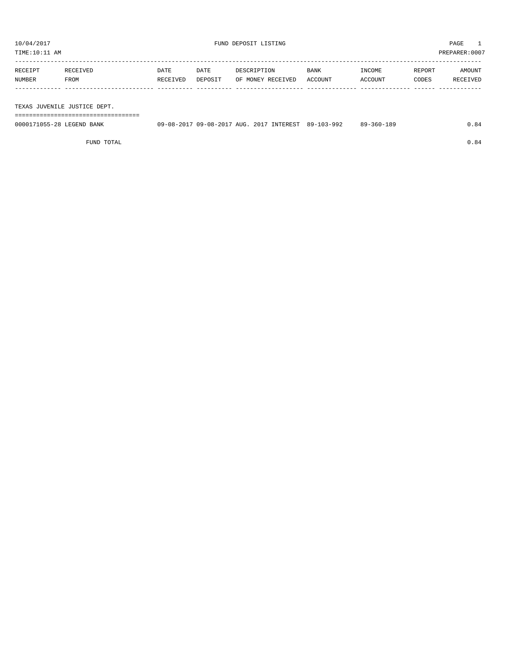| TIME:10:11 AM |                              |          |         |                   |             |         |        | PREPARER:0007 |
|---------------|------------------------------|----------|---------|-------------------|-------------|---------|--------|---------------|
|               |                              |          |         |                   |             |         |        |               |
| RECEIPT       | RECEIVED                     | DATE     | DATE    | DESCRIPTION       | <b>BANK</b> | INCOME  | REPORT | AMOUNT        |
| NUMBER        | FROM                         | RECEIVED | DEPOSIT | OF MONEY RECEIVED | ACCOUNT     | ACCOUNT | CODES  | RECEIVED      |
|               |                              |          |         |                   |             |         |        |               |
|               |                              |          |         |                   |             |         |        |               |
|               | TEXAS JUVENILE JUSTICE DEPT. |          |         |                   |             |         |        |               |

===================================

| 0000171055-28 LEGEND BANK | 09-08-2017 09-08-2017 AUG. 2017 INTEREST 89-103-992 |  | 89-360-189 | 0.84 |
|---------------------------|-----------------------------------------------------|--|------------|------|
|                           |                                                     |  |            |      |

FUND TOTAL  $0.84$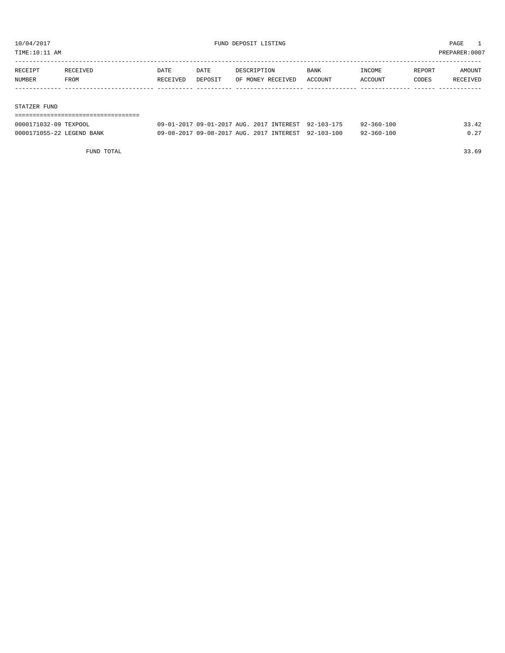TIME:10:11 AM PREPARER:0007

| RECEIPT | RECEIVED | <b>DATE</b> | DATE    | DESCRIPTION       | <b>BANK</b> | INCOME  | REPORT | AMOUNT   |
|---------|----------|-------------|---------|-------------------|-------------|---------|--------|----------|
| NUMBER  | FROM     | RECEIVED    | DEPOSIT | OF MONEY RECEIVED | ACCOUNT     | ACCOUNT | CODES  | RECEIVED |
|         |          |             |         |                   |             |         |        |          |
|         |          |             |         |                   |             |         |        |          |

#### STATZER FUND

| ------------------------------------ |                                                     |  |  |                  |       |
|--------------------------------------|-----------------------------------------------------|--|--|------------------|-------|
| 0000171032-09 TEXPOOL                | 09-01-2017 09-01-2017 AUG. 2017 INTEREST 92-103-175 |  |  | $92 - 360 - 100$ | 33.42 |
| 0000171055-22 LEGEND BANK            | 09-08-2017 09-08-2017 AUG. 2017 INTEREST 92-103-100 |  |  | $92 - 360 - 100$ | 0.27  |

FUND TOTAL 33.69